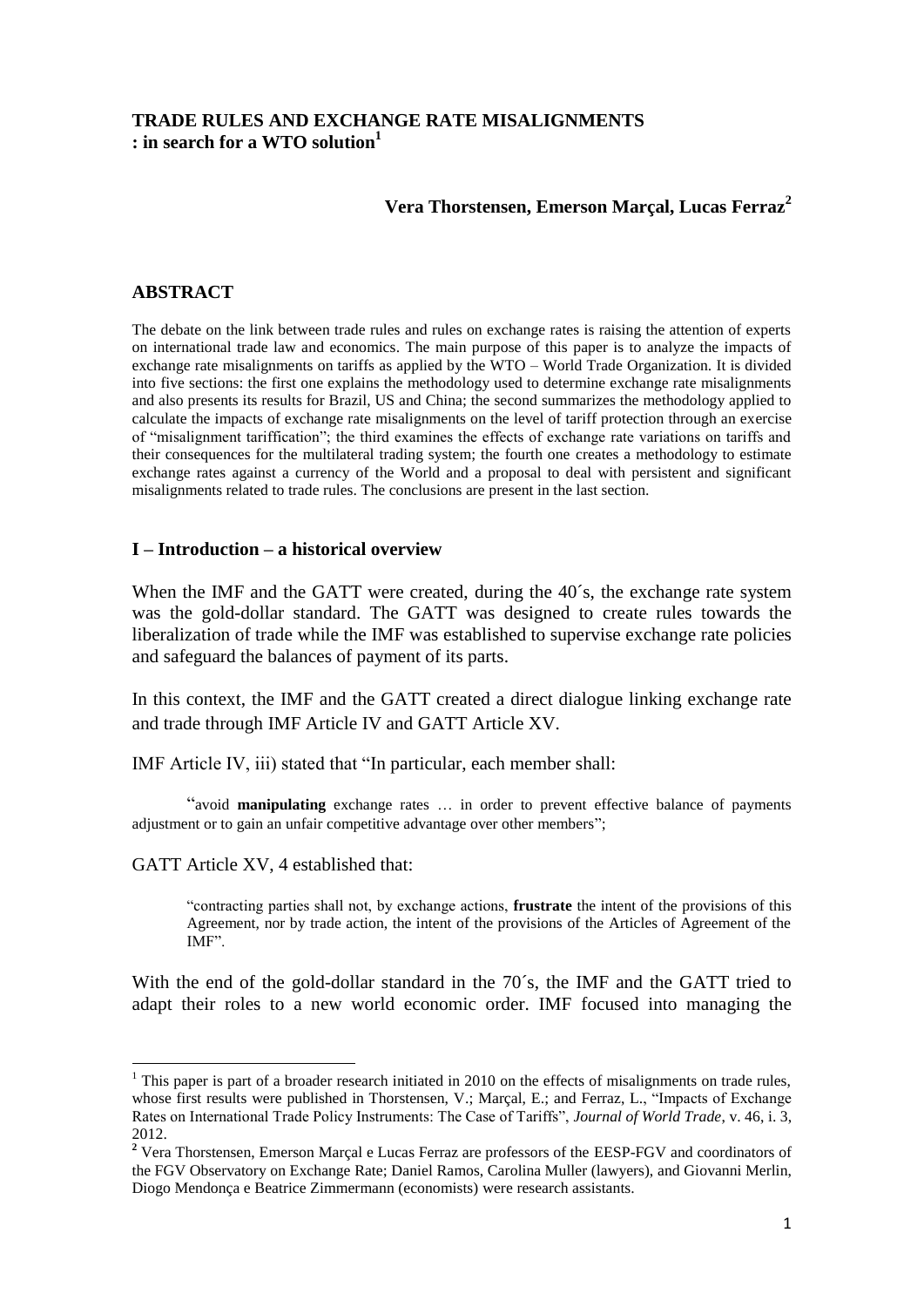# **TRADE RULES AND EXCHANGE RATE MISALIGNMENTS : in search for a WTO solution<sup>1</sup>**

#### **Vera Thorstensen, Emerson Marçal, Lucas Ferraz<sup>2</sup>**

#### **ABSTRACT**

The debate on the link between trade rules and rules on exchange rates is raising the attention of experts on international trade law and economics. The main purpose of this paper is to analyze the impacts of exchange rate misalignments on tariffs as applied by the WTO – World Trade Organization. It is divided into five sections: the first one explains the methodology used to determine exchange rate misalignments and also presents its results for Brazil, US and China; the second summarizes the methodology applied to calculate the impacts of exchange rate misalignments on the level of tariff protection through an exercise of "misalignment tariffication"; the third examines the effects of exchange rate variations on tariffs and their consequences for the multilateral trading system; the fourth one creates a methodology to estimate exchange rates against a currency of the World and a proposal to deal with persistent and significant misalignments related to trade rules. The conclusions are present in the last section.

#### **I – Introduction – a historical overview**

When the IMF and the GATT were created, during the 40's, the exchange rate system was the gold-dollar standard. The GATT was designed to create rules towards the liberalization of trade while the IMF was established to supervise exchange rate policies and safeguard the balances of payment of its parts.

In this context, the IMF and the GATT created a direct dialogue linking exchange rate and trade through IMF Article IV and GATT Article XV.

IMF Article IV, iii) stated that "In particular, each member shall:

"avoid **manipulating** exchange rates … in order to prevent effective balance of payments adjustment or to gain an unfair competitive advantage over other members";

GATT Article XV, 4 established that:

**.** 

"contracting parties shall not, by exchange actions, **frustrate** the intent of the provisions of this Agreement, nor by trade action, the intent of the provisions of the Articles of Agreement of the IMF".

With the end of the gold-dollar standard in the 70´s, the IMF and the GATT tried to adapt their roles to a new world economic order. IMF focused into managing the

<sup>&</sup>lt;sup>1</sup> This paper is part of a broader research initiated in 2010 on the effects of misalignments on trade rules, whose first results were published in Thorstensen, V.; Marçal, E.; and Ferraz, L., "Impacts of Exchange Rates on International Trade Policy Instruments: The Case of Tariffs", *Journal of World Trade*, v. 46, i. 3, 2012.

**<sup>2</sup>** Vera Thorstensen, Emerson Marçal e Lucas Ferraz are professors of the EESP-FGV and coordinators of the FGV Observatory on Exchange Rate; Daniel Ramos, Carolina Muller (lawyers), and Giovanni Merlin, Diogo Mendonça e Beatrice Zimmermann (economists) were research assistants.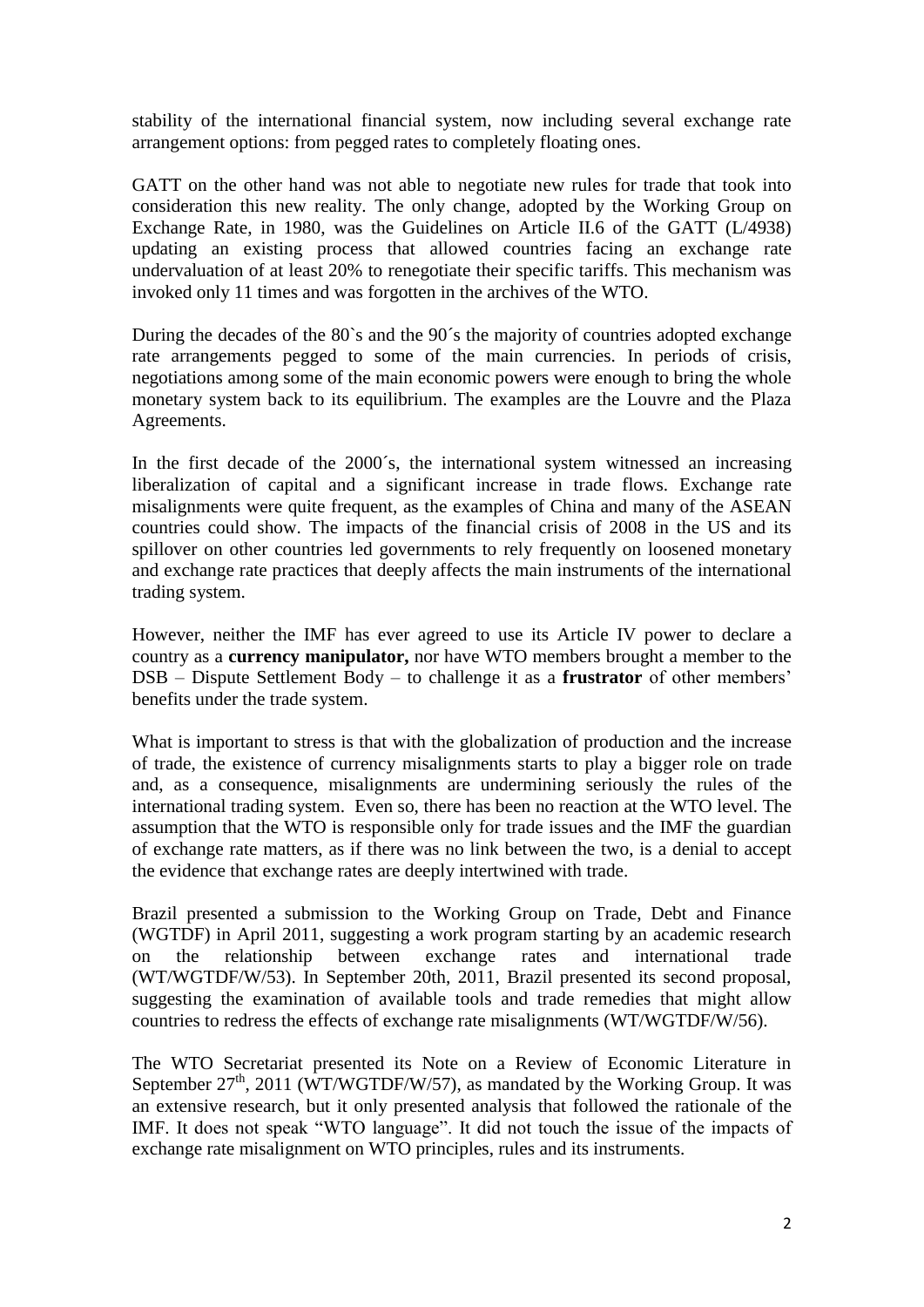stability of the international financial system, now including several exchange rate arrangement options: from pegged rates to completely floating ones.

GATT on the other hand was not able to negotiate new rules for trade that took into consideration this new reality. The only change, adopted by the Working Group on Exchange Rate, in 1980, was the Guidelines on Article II.6 of the GATT (L/4938) updating an existing process that allowed countries facing an exchange rate undervaluation of at least 20% to renegotiate their specific tariffs. This mechanism was invoked only 11 times and was forgotten in the archives of the WTO.

During the decades of the 80`s and the 90´s the majority of countries adopted exchange rate arrangements pegged to some of the main currencies. In periods of crisis, negotiations among some of the main economic powers were enough to bring the whole monetary system back to its equilibrium. The examples are the Louvre and the Plaza Agreements.

In the first decade of the 2000´s, the international system witnessed an increasing liberalization of capital and a significant increase in trade flows. Exchange rate misalignments were quite frequent, as the examples of China and many of the ASEAN countries could show. The impacts of the financial crisis of 2008 in the US and its spillover on other countries led governments to rely frequently on loosened monetary and exchange rate practices that deeply affects the main instruments of the international trading system.

However, neither the IMF has ever agreed to use its Article IV power to declare a country as a **currency manipulator,** nor have WTO members brought a member to the DSB – Dispute Settlement Body – to challenge it as a **frustrator** of other members' benefits under the trade system.

What is important to stress is that with the globalization of production and the increase of trade, the existence of currency misalignments starts to play a bigger role on trade and, as a consequence, misalignments are undermining seriously the rules of the international trading system. Even so, there has been no reaction at the WTO level. The assumption that the WTO is responsible only for trade issues and the IMF the guardian of exchange rate matters, as if there was no link between the two, is a denial to accept the evidence that exchange rates are deeply intertwined with trade.

Brazil presented a submission to the Working Group on Trade, Debt and Finance (WGTDF) in April 2011, suggesting a work program starting by an academic research on the relationship between exchange rates and international trade (WT/WGTDF/W/53). In September 20th, 2011, Brazil presented its second proposal, suggesting the examination of available tools and trade remedies that might allow countries to redress the effects of exchange rate misalignments (WT/WGTDF/W/56).

The WTO Secretariat presented its Note on a Review of Economic Literature in September  $27<sup>th</sup>$ , 2011 (WT/WGTDF/W/57), as mandated by the Working Group. It was an extensive research, but it only presented analysis that followed the rationale of the IMF. It does not speak "WTO language". It did not touch the issue of the impacts of exchange rate misalignment on WTO principles, rules and its instruments.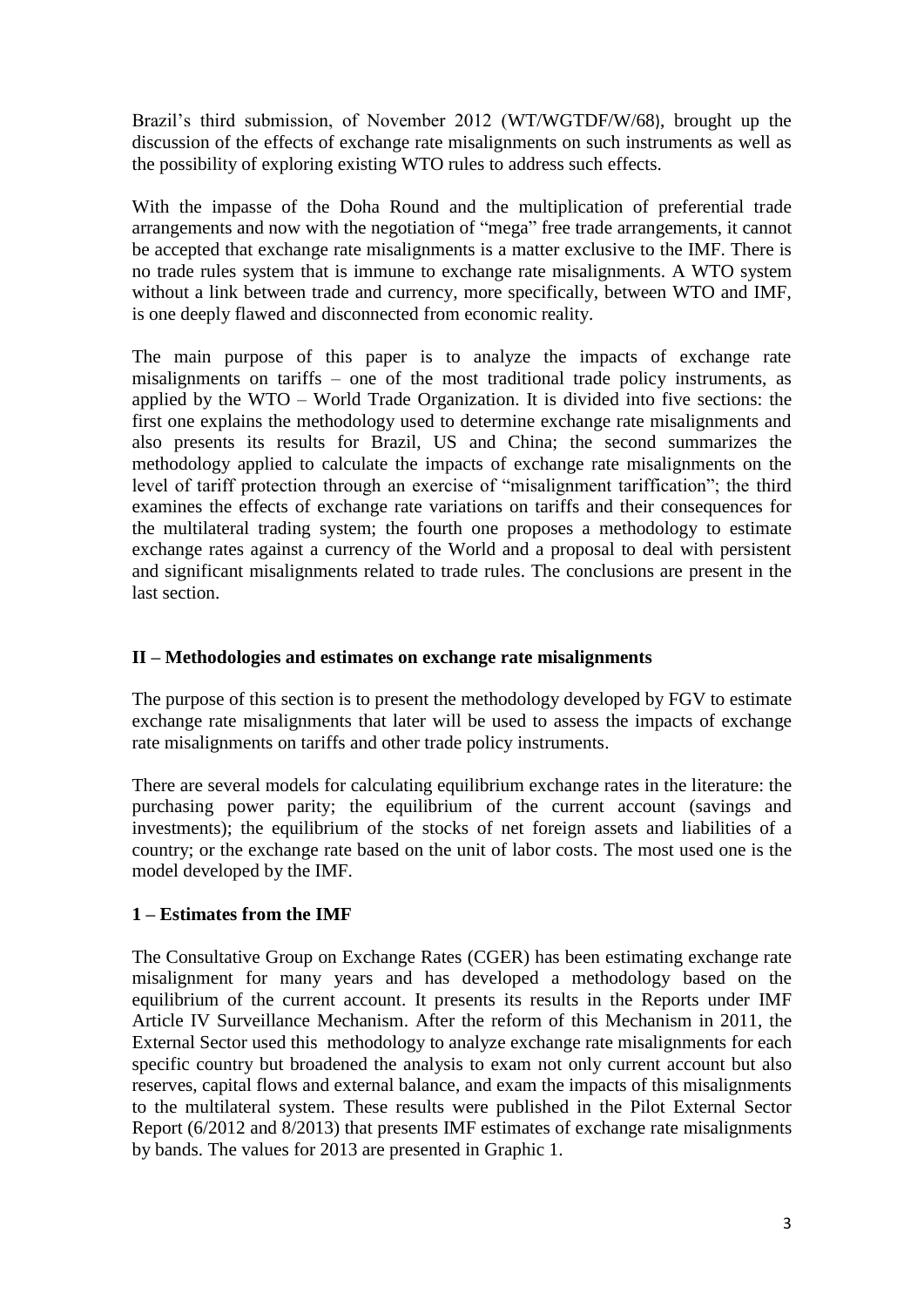Brazil's third submission, of November 2012 (WT/WGTDF/W/68), brought up the discussion of the effects of exchange rate misalignments on such instruments as well as the possibility of exploring existing WTO rules to address such effects.

With the impasse of the Doha Round and the multiplication of preferential trade arrangements and now with the negotiation of "mega" free trade arrangements, it cannot be accepted that exchange rate misalignments is a matter exclusive to the IMF. There is no trade rules system that is immune to exchange rate misalignments. A WTO system without a link between trade and currency, more specifically, between WTO and IMF, is one deeply flawed and disconnected from economic reality.

The main purpose of this paper is to analyze the impacts of exchange rate misalignments on tariffs – one of the most traditional trade policy instruments, as applied by the WTO – World Trade Organization. It is divided into five sections: the first one explains the methodology used to determine exchange rate misalignments and also presents its results for Brazil, US and China; the second summarizes the methodology applied to calculate the impacts of exchange rate misalignments on the level of tariff protection through an exercise of "misalignment tariffication"; the third examines the effects of exchange rate variations on tariffs and their consequences for the multilateral trading system; the fourth one proposes a methodology to estimate exchange rates against a currency of the World and a proposal to deal with persistent and significant misalignments related to trade rules. The conclusions are present in the last section.

# **II – Methodologies and estimates on exchange rate misalignments**

The purpose of this section is to present the methodology developed by FGV to estimate exchange rate misalignments that later will be used to assess the impacts of exchange rate misalignments on tariffs and other trade policy instruments.

There are several models for calculating equilibrium exchange rates in the literature: the purchasing power parity; the equilibrium of the current account (savings and investments); the equilibrium of the stocks of net foreign assets and liabilities of a country; or the exchange rate based on the unit of labor costs. The most used one is the model developed by the IMF.

# **1 – Estimates from the IMF**

The Consultative Group on Exchange Rates (CGER) has been estimating exchange rate misalignment for many years and has developed a methodology based on the equilibrium of the current account. It presents its results in the Reports under IMF Article IV Surveillance Mechanism. After the reform of this Mechanism in 2011, the External Sector used this methodology to analyze exchange rate misalignments for each specific country but broadened the analysis to exam not only current account but also reserves, capital flows and external balance, and exam the impacts of this misalignments to the multilateral system. These results were published in the Pilot External Sector Report (6/2012 and 8/2013) that presents IMF estimates of exchange rate misalignments by bands. The values for 2013 are presented in Graphic 1.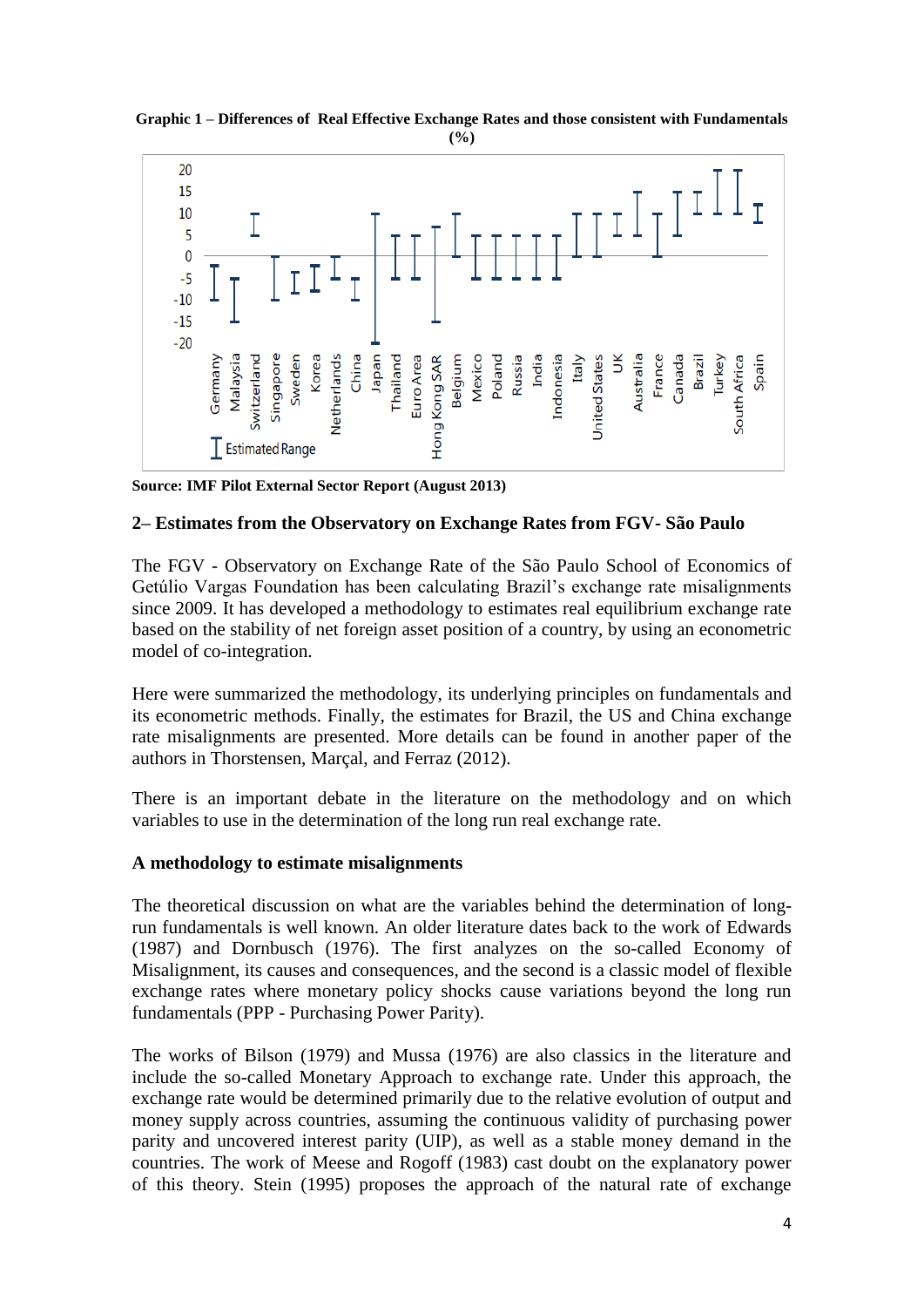

**Graphic 1 – Differences of Real Effective Exchange Rates and those consistent with Fundamentals (%)**

**Source: IMF Pilot External Sector Report (August 2013)**

### **2– Estimates from the Observatory on Exchange Rates from FGV- São Paulo**

The FGV - Observatory on Exchange Rate of the São Paulo School of Economics of Getúlio Vargas Foundation has been calculating Brazil's exchange rate misalignments since 2009. It has developed a methodology to estimates real equilibrium exchange rate based on the stability of net foreign asset position of a country, by using an econometric model of co-integration.

Here were summarized the methodology, its underlying principles on fundamentals and its econometric methods. Finally, the estimates for Brazil, the US and China exchange rate misalignments are presented. More details can be found in another paper of the authors in Thorstensen, Marçal, and Ferraz (2012).

There is an important debate in the literature on the methodology and on which variables to use in the determination of the long run real exchange rate.

#### **A methodology to estimate misalignments**

The theoretical discussion on what are the variables behind the determination of longrun fundamentals is well known. An older literature dates back to the work of Edwards (1987) and Dornbusch (1976). The first analyzes on the so-called Economy of Misalignment, its causes and consequences, and the second is a classic model of flexible exchange rates where monetary policy shocks cause variations beyond the long run fundamentals (PPP - Purchasing Power Parity).

The works of Bilson (1979) and Mussa (1976) are also classics in the literature and include the so-called Monetary Approach to exchange rate. Under this approach, the exchange rate would be determined primarily due to the relative evolution of output and money supply across countries, assuming the continuous validity of purchasing power parity and uncovered interest parity (UIP), as well as a stable money demand in the countries. The work of Meese and Rogoff (1983) cast doubt on the explanatory power of this theory. Stein (1995) proposes the approach of the natural rate of exchange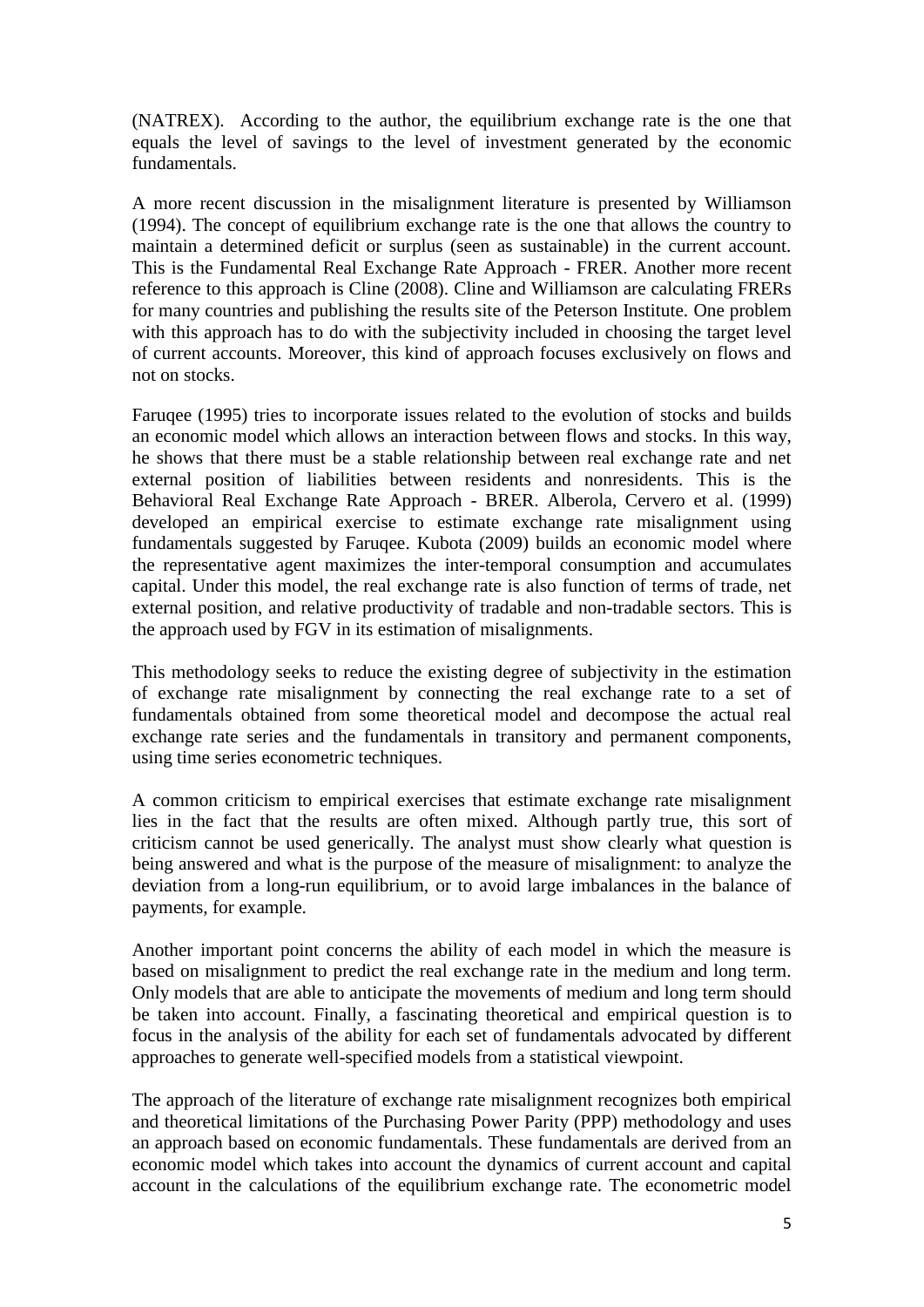(NATREX). According to the author, the equilibrium exchange rate is the one that equals the level of savings to the level of investment generated by the economic fundamentals.

A more recent discussion in the misalignment literature is presented by Williamson (1994). The concept of equilibrium exchange rate is the one that allows the country to maintain a determined deficit or surplus (seen as sustainable) in the current account. This is the Fundamental Real Exchange Rate Approach - FRER. Another more recent reference to this approach is Cline (2008). Cline and Williamson are calculating FRERs for many countries and publishing the results site of the Peterson Institute. One problem with this approach has to do with the subjectivity included in choosing the target level of current accounts. Moreover, this kind of approach focuses exclusively on flows and not on stocks.

Faruqee (1995) tries to incorporate issues related to the evolution of stocks and builds an economic model which allows an interaction between flows and stocks. In this way, he shows that there must be a stable relationship between real exchange rate and net external position of liabilities between residents and nonresidents. This is the Behavioral Real Exchange Rate Approach - BRER. Alberola, Cervero et al. (1999) developed an empirical exercise to estimate exchange rate misalignment using fundamentals suggested by Faruqee. Kubota (2009) builds an economic model where the representative agent maximizes the inter-temporal consumption and accumulates capital. Under this model, the real exchange rate is also function of terms of trade, net external position, and relative productivity of tradable and non-tradable sectors. This is the approach used by FGV in its estimation of misalignments.

This methodology seeks to reduce the existing degree of subjectivity in the estimation of exchange rate misalignment by connecting the real exchange rate to a set of fundamentals obtained from some theoretical model and decompose the actual real exchange rate series and the fundamentals in transitory and permanent components, using time series econometric techniques.

A common criticism to empirical exercises that estimate exchange rate misalignment lies in the fact that the results are often mixed. Although partly true, this sort of criticism cannot be used generically. The analyst must show clearly what question is being answered and what is the purpose of the measure of misalignment: to analyze the deviation from a long-run equilibrium, or to avoid large imbalances in the balance of payments, for example.

Another important point concerns the ability of each model in which the measure is based on misalignment to predict the real exchange rate in the medium and long term. Only models that are able to anticipate the movements of medium and long term should be taken into account. Finally, a fascinating theoretical and empirical question is to focus in the analysis of the ability for each set of fundamentals advocated by different approaches to generate well-specified models from a statistical viewpoint.

The approach of the literature of exchange rate misalignment recognizes both empirical and theoretical limitations of the Purchasing Power Parity (PPP) methodology and uses an approach based on economic fundamentals. These fundamentals are derived from an economic model which takes into account the dynamics of current account and capital account in the calculations of the equilibrium exchange rate. The econometric model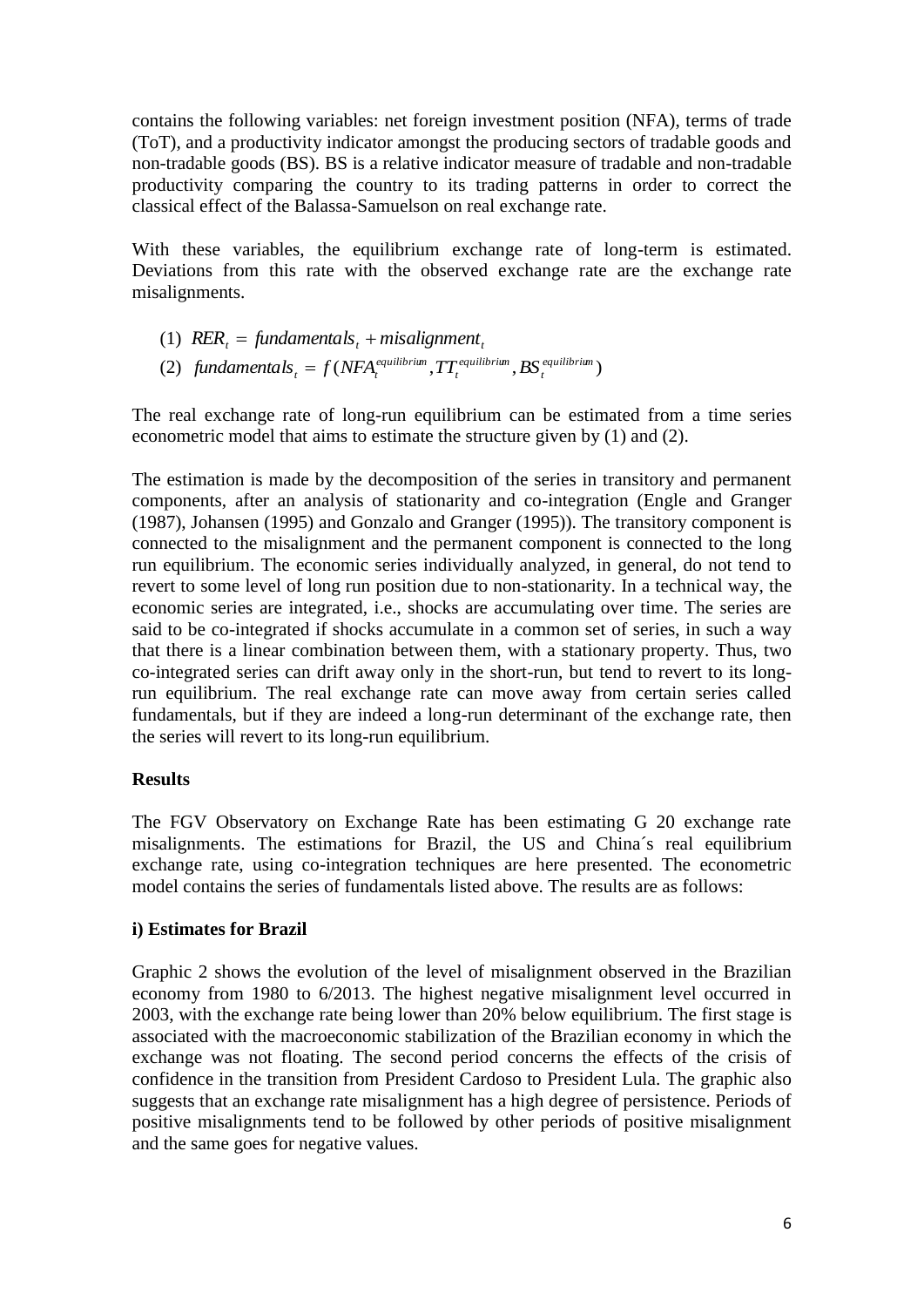contains the following variables: net foreign investment position (NFA), terms of trade (ToT), and a productivity indicator amongst the producing sectors of tradable goods and non-tradable goods (BS). BS is a relative indicator measure of tradable and non-tradable productivity comparing the country to its trading patterns in order to correct the classical effect of the Balassa-Samuelson on real exchange rate.

With these variables, the equilibrium exchange rate of long-term is estimated. Deviations from this rate with the observed exchange rate are the exchange rate misalignments.

(1)  $RER_t = \text{fundamentals}_t + \text{misalignment}_t$ (2) fundamentals<sub>t</sub> =  $f(NFA_t^{equilibrium}, TT_t^{equilibrium}, BS_t^{equilibrium})$ *t equilibrium t*  $f$ undamental $s$ <sub>t</sub> =  $f(NFA_t^{equilibrium}, TT_t^{equilibrium}, BS$ 

The real exchange rate of long-run equilibrium can be estimated from a time series econometric model that aims to estimate the structure given by (1) and (2).

The estimation is made by the decomposition of the series in transitory and permanent components, after an analysis of stationarity and co-integration (Engle and Granger (1987), Johansen (1995) and Gonzalo and Granger (1995)). The transitory component is connected to the misalignment and the permanent component is connected to the long run equilibrium. The economic series individually analyzed, in general, do not tend to revert to some level of long run position due to non-stationarity. In a technical way, the economic series are integrated, i.e., shocks are accumulating over time. The series are said to be co-integrated if shocks accumulate in a common set of series, in such a way that there is a linear combination between them, with a stationary property. Thus, two co-integrated series can drift away only in the short-run, but tend to revert to its longrun equilibrium. The real exchange rate can move away from certain series called fundamentals, but if they are indeed a long-run determinant of the exchange rate, then the series will revert to its long-run equilibrium.

# **Results**

The FGV Observatory on Exchange Rate has been estimating G 20 exchange rate misalignments. The estimations for Brazil, the US and China´s real equilibrium exchange rate, using co-integration techniques are here presented. The econometric model contains the series of fundamentals listed above. The results are as follows:

# **i) Estimates for Brazil**

Graphic 2 shows the evolution of the level of misalignment observed in the Brazilian economy from 1980 to 6/2013. The highest negative misalignment level occurred in 2003, with the exchange rate being lower than 20% below equilibrium. The first stage is associated with the macroeconomic stabilization of the Brazilian economy in which the exchange was not floating. The second period concerns the effects of the crisis of confidence in the transition from President Cardoso to President Lula. The graphic also suggests that an exchange rate misalignment has a high degree of persistence. Periods of positive misalignments tend to be followed by other periods of positive misalignment and the same goes for negative values.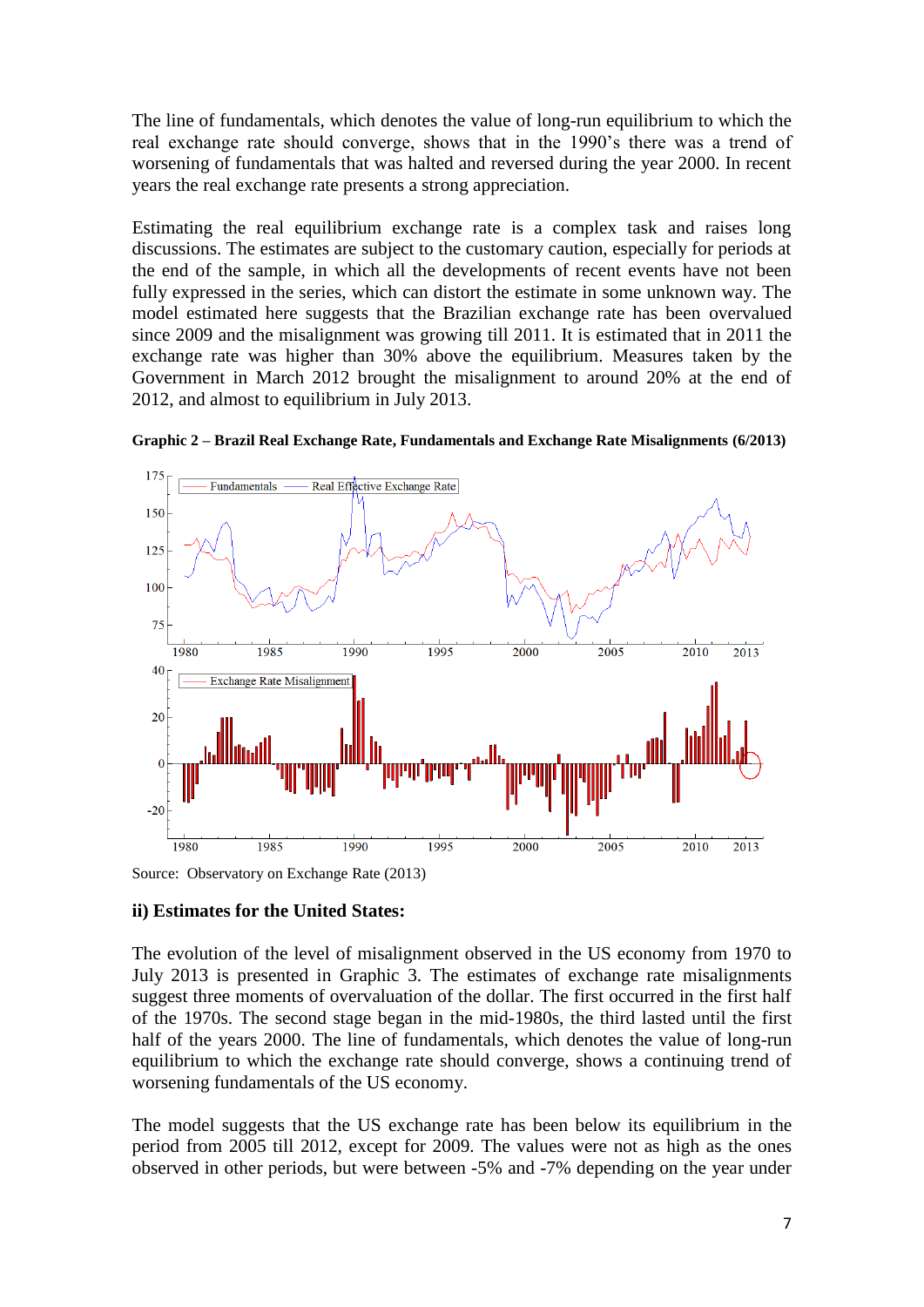The line of fundamentals, which denotes the value of long-run equilibrium to which the real exchange rate should converge, shows that in the 1990's there was a trend of worsening of fundamentals that was halted and reversed during the year 2000. In recent years the real exchange rate presents a strong appreciation.

Estimating the real equilibrium exchange rate is a complex task and raises long discussions. The estimates are subject to the customary caution, especially for periods at the end of the sample, in which all the developments of recent events have not been fully expressed in the series, which can distort the estimate in some unknown way. The model estimated here suggests that the Brazilian exchange rate has been overvalued since 2009 and the misalignment was growing till 2011. It is estimated that in 2011 the exchange rate was higher than 30% above the equilibrium. Measures taken by the Government in March 2012 brought the misalignment to around 20% at the end of 2012, and almost to equilibrium in July 2013.



**Graphic 2 – Brazil Real Exchange Rate, Fundamentals and Exchange Rate Misalignments (6/2013)**

Source: Observatory on Exchange Rate (2013)

#### **ii) Estimates for the United States:**

The evolution of the level of misalignment observed in the US economy from 1970 to July 2013 is presented in Graphic 3. The estimates of exchange rate misalignments suggest three moments of overvaluation of the dollar. The first occurred in the first half of the 1970s. The second stage began in the mid-1980s, the third lasted until the first half of the years 2000. The line of fundamentals, which denotes the value of long-run equilibrium to which the exchange rate should converge, shows a continuing trend of worsening fundamentals of the US economy.

The model suggests that the US exchange rate has been below its equilibrium in the period from 2005 till 2012, except for 2009. The values were not as high as the ones observed in other periods, but were between -5% and -7% depending on the year under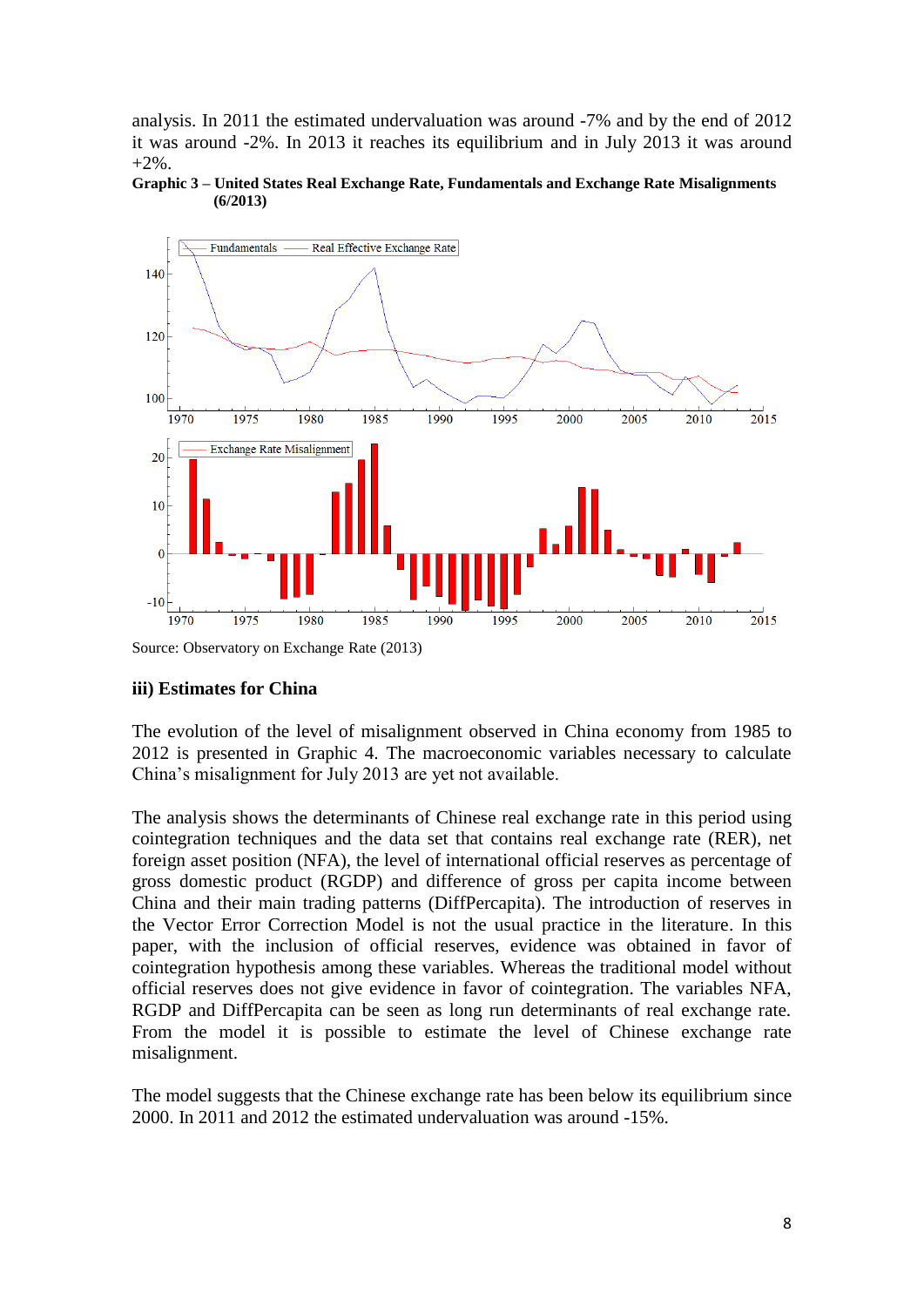analysis. In 2011 the estimated undervaluation was around -7% and by the end of 2012 it was around -2%. In 2013 it reaches its equilibrium and in July 2013 it was around  $+2\%$ .





Source: Observatory on Exchange Rate (2013)

#### **iii) Estimates for China**

The evolution of the level of misalignment observed in China economy from 1985 to 2012 is presented in Graphic 4. The macroeconomic variables necessary to calculate China's misalignment for July 2013 are yet not available.

The analysis shows the determinants of Chinese real exchange rate in this period using cointegration techniques and the data set that contains real exchange rate (RER), net foreign asset position (NFA), the level of international official reserves as percentage of gross domestic product (RGDP) and difference of gross per capita income between China and their main trading patterns (DiffPercapita). The introduction of reserves in the Vector Error Correction Model is not the usual practice in the literature. In this paper, with the inclusion of official reserves, evidence was obtained in favor of cointegration hypothesis among these variables. Whereas the traditional model without official reserves does not give evidence in favor of cointegration. The variables NFA, RGDP and DiffPercapita can be seen as long run determinants of real exchange rate. From the model it is possible to estimate the level of Chinese exchange rate misalignment.

The model suggests that the Chinese exchange rate has been below its equilibrium since 2000. In 2011 and 2012 the estimated undervaluation was around -15%.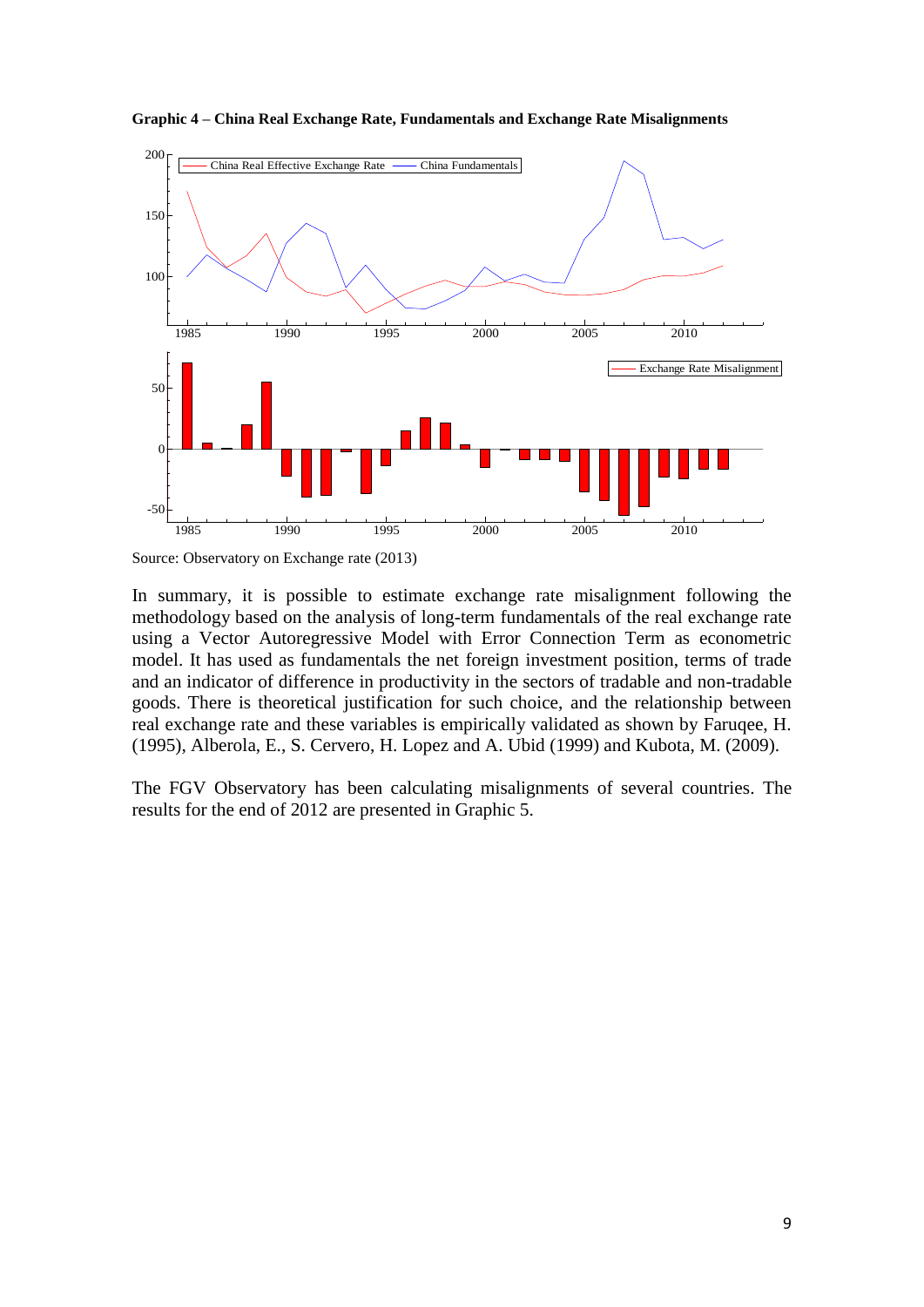

**Graphic 4 – China Real Exchange Rate, Fundamentals and Exchange Rate Misalignments**

In summary, it is possible to estimate exchange rate misalignment following the methodology based on the analysis of long-term fundamentals of the real exchange rate using a Vector Autoregressive Model with Error Connection Term as econometric model. It has used as fundamentals the net foreign investment position, terms of trade and an indicator of difference in productivity in the sectors of tradable and non-tradable goods. There is theoretical justification for such choice, and the relationship between real exchange rate and these variables is empirically validated as shown by Faruqee, H. (1995), Alberola, E., S. Cervero, H. Lopez and A. Ubid (1999) and Kubota, M. (2009).

The FGV Observatory has been calculating misalignments of several countries. The results for the end of 2012 are presented in Graphic 5.

Source: Observatory on Exchange rate (2013)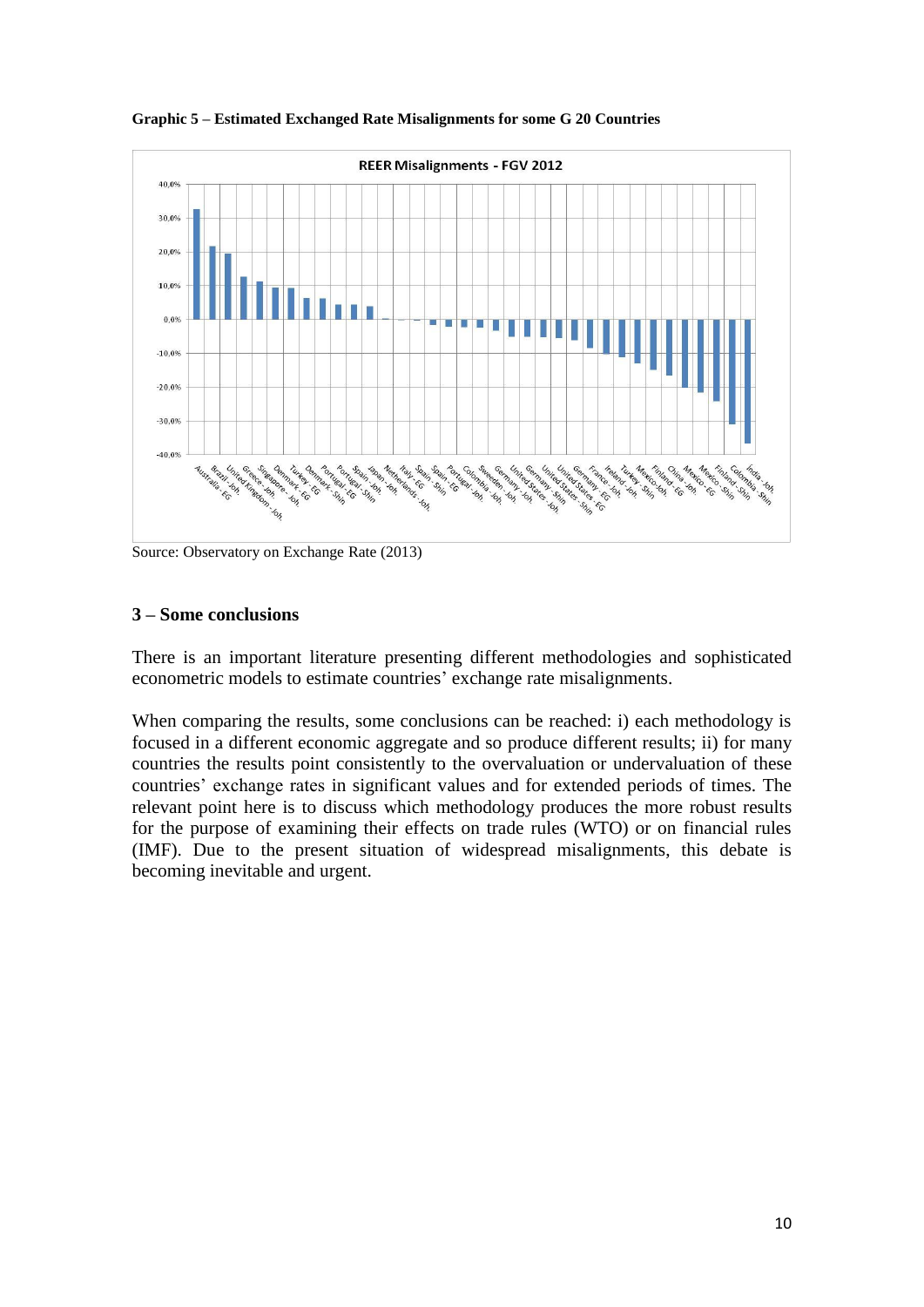

**Graphic 5 – Estimated Exchanged Rate Misalignments for some G 20 Countries**

Source: Observatory on Exchange Rate (2013)

#### **3 – Some conclusions**

There is an important literature presenting different methodologies and sophisticated econometric models to estimate countries' exchange rate misalignments.

When comparing the results, some conclusions can be reached: i) each methodology is focused in a different economic aggregate and so produce different results; ii) for many countries the results point consistently to the overvaluation or undervaluation of these countries' exchange rates in significant values and for extended periods of times. The relevant point here is to discuss which methodology produces the more robust results for the purpose of examining their effects on trade rules (WTO) or on financial rules (IMF). Due to the present situation of widespread misalignments, this debate is becoming inevitable and urgent.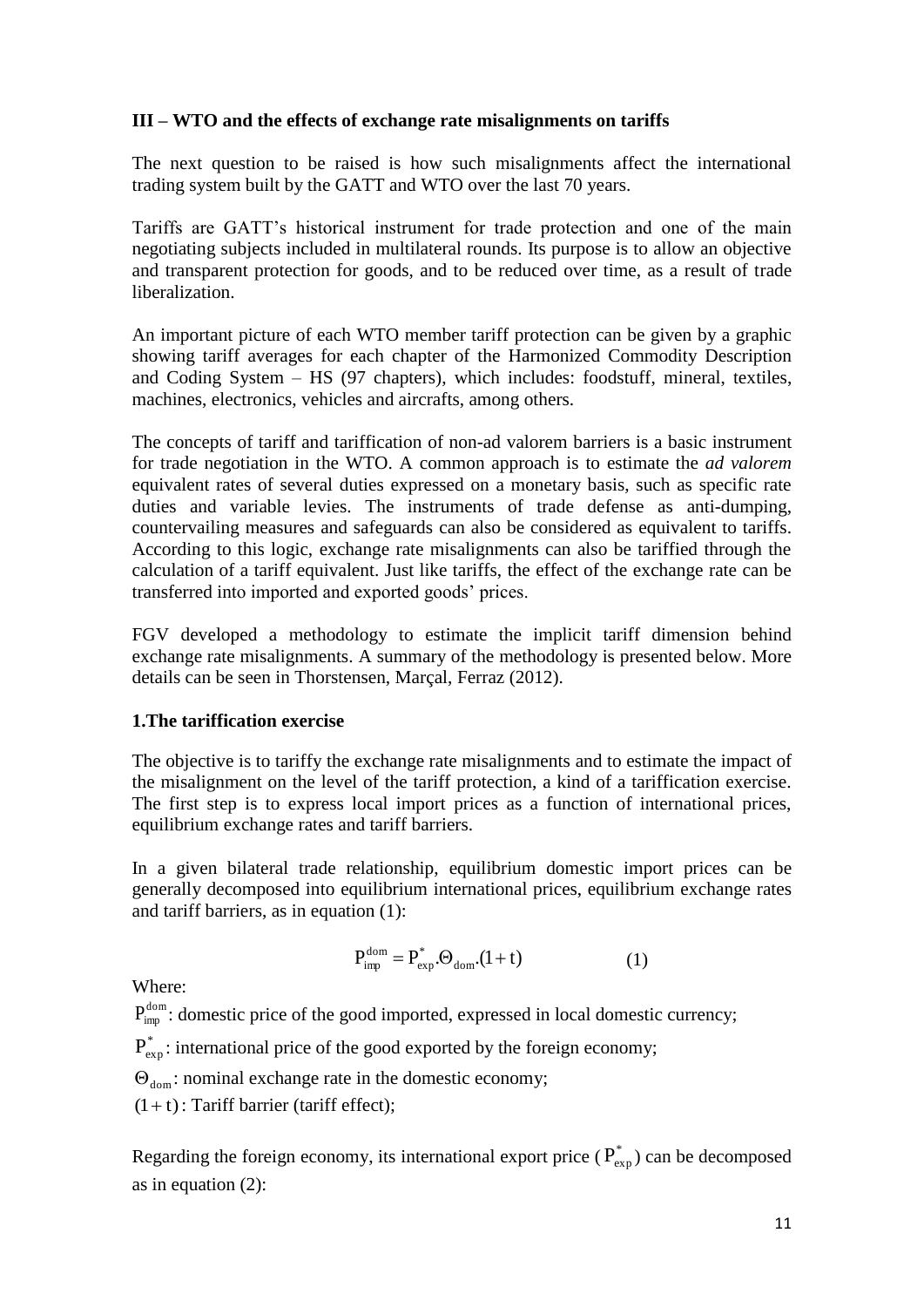### **III – WTO and the effects of exchange rate misalignments on tariffs**

The next question to be raised is how such misalignments affect the international trading system built by the GATT and WTO over the last 70 years.

Tariffs are GATT's historical instrument for trade protection and one of the main negotiating subjects included in multilateral rounds. Its purpose is to allow an objective and transparent protection for goods, and to be reduced over time, as a result of trade liberalization.

An important picture of each WTO member tariff protection can be given by a graphic showing tariff averages for each chapter of the Harmonized Commodity Description and Coding System – HS (97 chapters), which includes: foodstuff, mineral, textiles, machines, electronics, vehicles and aircrafts, among others.

The concepts of tariff and tariffication of non-ad valorem barriers is a basic instrument for trade negotiation in the WTO. A common approach is to estimate the *ad valorem*  equivalent rates of several duties expressed on a monetary basis, such as specific rate duties and variable levies. The instruments of trade defense as anti-dumping, countervailing measures and safeguards can also be considered as equivalent to tariffs. According to this logic, exchange rate misalignments can also be tariffied through the calculation of a tariff equivalent. Just like tariffs, the effect of the exchange rate can be transferred into imported and exported goods' prices.

FGV developed a methodology to estimate the implicit tariff dimension behind exchange rate misalignments. A summary of the methodology is presented below. More details can be seen in Thorstensen, Marçal, Ferraz (2012).

#### **1.The tariffication exercise**

The objective is to tariffy the exchange rate misalignments and to estimate the impact of the misalignment on the level of the tariff protection, a kind of a tariffication exercise. The first step is to express local import prices as a function of international prices, equilibrium exchange rates and tariff barriers.

In a given bilateral trade relationship, equilibrium domestic import prices can be generally decomposed into equilibrium international prices, equilibrium exchange rates and tariff barriers, as in equation (1):

$$
P_{\text{imp}}^{\text{dom}} = P_{\text{exp}}^* . \Theta_{\text{dom}} . (1 + t) \tag{1}
$$

Where:

 $P_{\text{imp}}^{\text{dom}}$ : domestic price of the good imported, expressed in local domestic currency;

 $P_{\text{exp}}^*$ : international price of the good exported by the foreign economy;

 $\Theta_{\text{dom}}$ : nominal exchange rate in the domestic economy;

 $(1 + t)$ : Tariff barrier (tariff effect);

Regarding the foreign economy, its international export price ( $P_{exp}$ ) can be decomposed as in equation (2):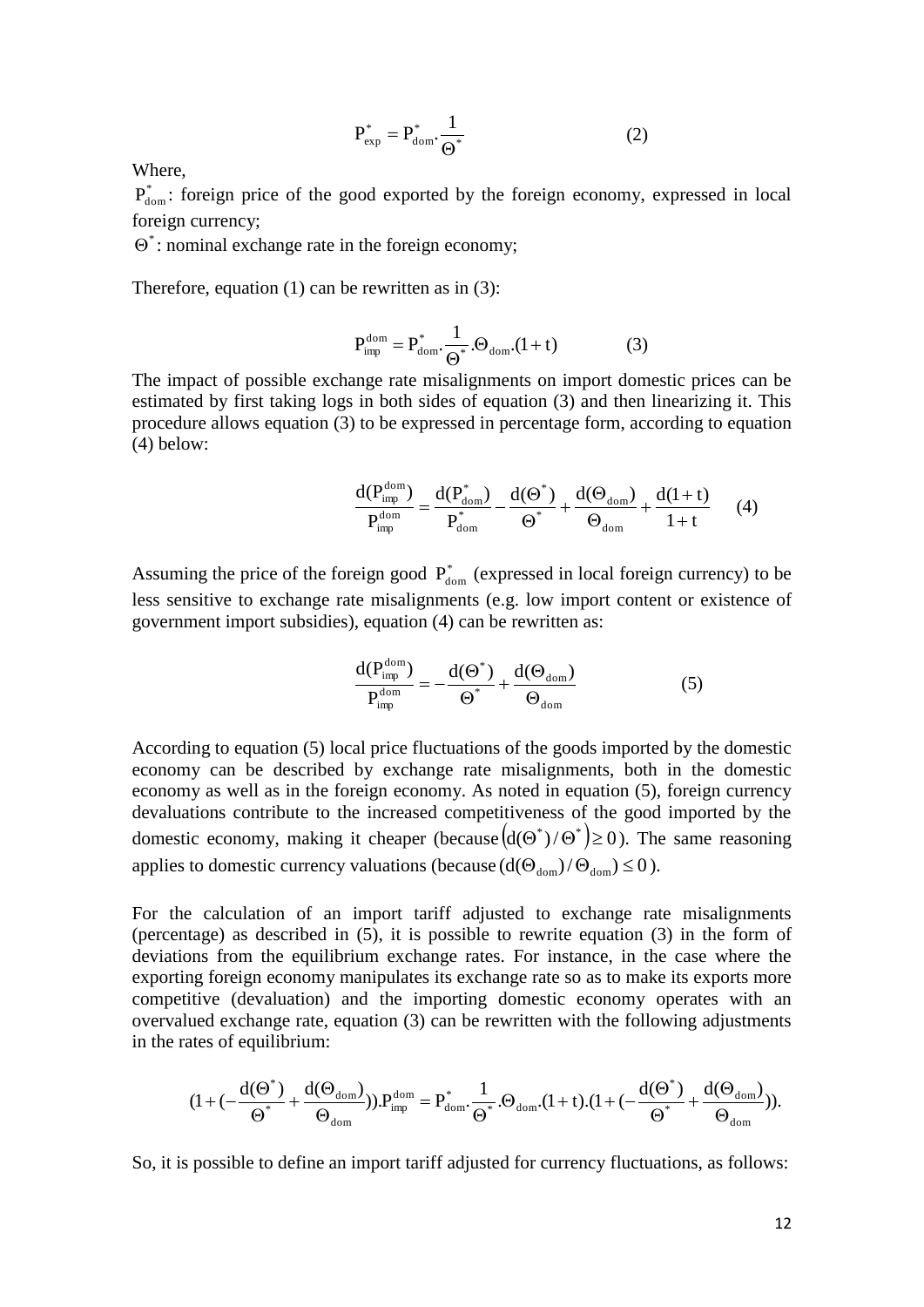$$
P_{\rm exp}^* = P_{\rm dom}^* \cdot \frac{1}{\Theta^*}
$$
 (2)

Where,

 $P_{\text{dom}}^*$ : foreign price of the good exported by the foreign economy, expressed in local foreign currency;

 $\Theta^*$ : nominal exchange rate in the foreign economy;

Therefore, equation  $(1)$  can be rewritten as in  $(3)$ :

$$
P_{\text{imp}}^{\text{dom}} = P_{\text{dom}}^* \cdot \frac{1}{\Theta^*} . \Theta_{\text{dom}} . (1 + t) \tag{3}
$$

The impact of possible exchange rate misalignments on import domestic prices can be estimated by first taking logs in both sides of equation (3) and then linearizing it. This procedure allows equation (3) to be expressed in percentage form, according to equation (4) below:

$$
\frac{d(P_{\text{imp}}^{\text{dom}})}{P_{\text{imp}}^{\text{dom}}} = \frac{d(P_{\text{dom}}^*)}{P_{\text{dom}}^*} - \frac{d(\Theta^*)}{\Theta^*} + \frac{d(\Theta_{\text{dom}})}{\Theta_{\text{dom}}} + \frac{d(1+t)}{1+t} \qquad (4)
$$

Assuming the price of the foreign good  $P_{\text{dom}}^*$  (expressed in local foreign currency) to be less sensitive to exchange rate misalignments (e.g. low import content or existence of government import subsidies), equation (4) can be rewritten as:

$$
\frac{d(P_{\text{imp}}^{\text{dom}})}{P_{\text{imp}}^{\text{dom}}} = -\frac{d(\Theta^*)}{\Theta^*} + \frac{d(\Theta_{\text{dom}})}{\Theta_{\text{dom}}}
$$
(5)

According to equation (5) local price fluctuations of the goods imported by the domestic economy can be described by exchange rate misalignments, both in the domestic economy as well as in the foreign economy. As noted in equation (5), foreign currency devaluations contribute to the increased competitiveness of the good imported by the domestic economy, making it cheaper (because  $(d(\Theta^*)/\Theta^*) \ge 0$ ). The same reasoning applies to domestic currency valuations (because  $(d(\Theta_{\text{dom}})/\Theta_{\text{dom}}) \le 0$ ).

For the calculation of an import tariff adjusted to exchange rate misalignments (percentage) as described in (5), it is possible to rewrite equation (3) in the form of deviations from the equilibrium exchange rates. For instance, in the case where the exporting foreign economy manipulates its exchange rate so as to make its exports more competitive (devaluation) and the importing domestic economy operates with an overvalued exchange rate, equation (3) can be rewritten with the following adjustments in the rates of equilibrium:

$$
(1+(-\frac{d(\Theta^*)}{\Theta^*}+\frac{d(\Theta_{\mathrm{dom}})}{\Theta_{\mathrm{dom}}})) . P_{\mathrm{imp}}^{\mathrm{dom}} = P_{\mathrm{dom}}^* . \frac{1}{\Theta^*} . \Theta_{\mathrm{dom}} . (1+t) . (1+(-\frac{d(\Theta^*)}{\Theta^*}+\frac{d(\Theta_{\mathrm{dom}})}{\Theta_{\mathrm{dom}}})).
$$

So, it is possible to define an import tariff adjusted for currency fluctuations, as follows: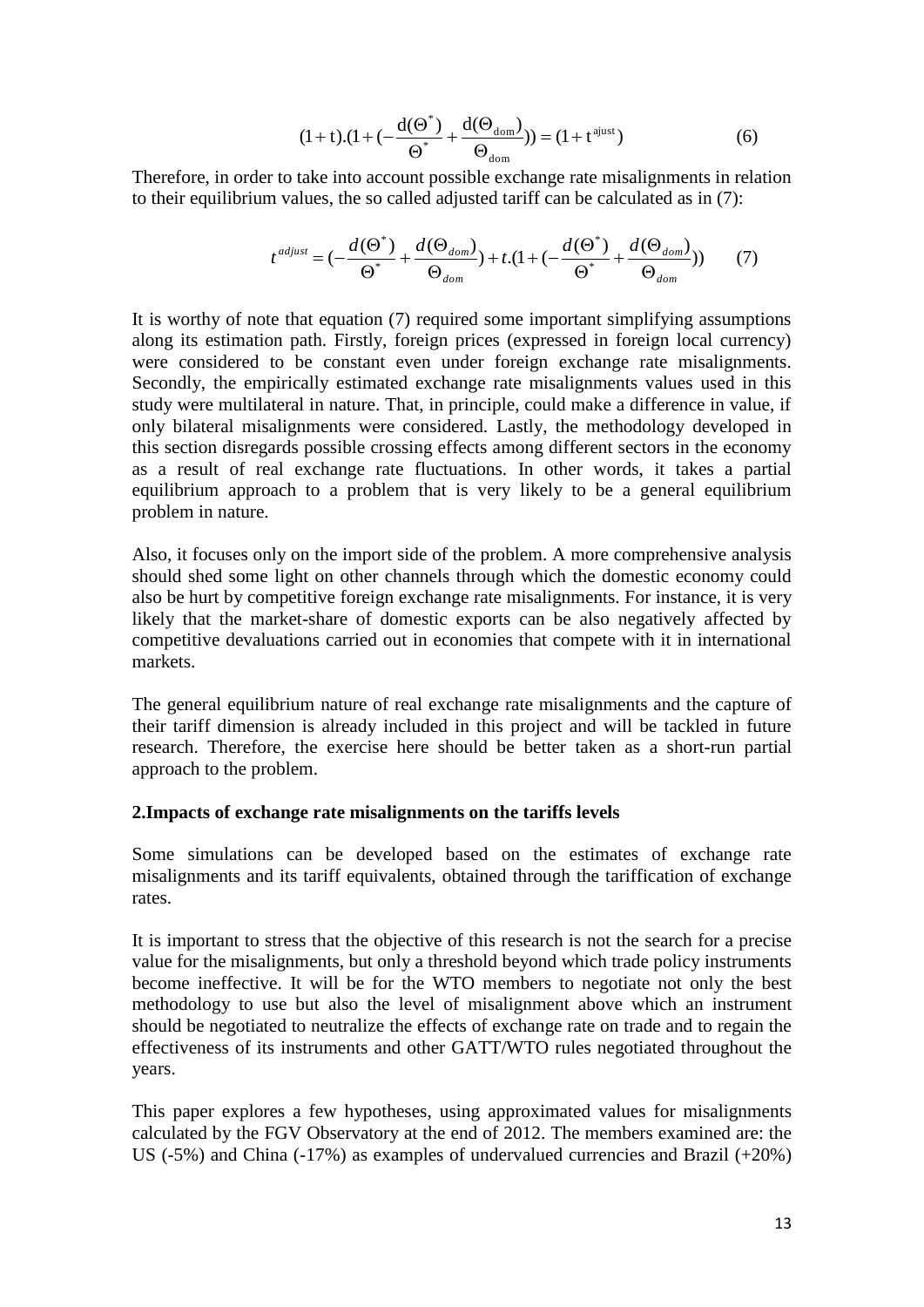$$
(1+t).(1+(-\frac{d(\Theta^*)}{\Theta^*}+\frac{d(\Theta_{dom})}{\Theta_{dom}})) = (1+t^{ajust})
$$
(6)

Therefore, in order to take into account possible exchange rate misalignments in relation to their equilibrium values, the so called adjusted tariff can be calculated as in (7):

$$
t^{adjust} = (-\frac{d(\Theta^*)}{\Theta^*} + \frac{d(\Theta_{dom})}{\Theta_{dom}}) + t \cdot (1 + (-\frac{d(\Theta^*)}{\Theta^*} + \frac{d(\Theta_{dom})}{\Theta_{dom}})) \tag{7}
$$

It is worthy of note that equation (7) required some important simplifying assumptions along its estimation path. Firstly, foreign prices (expressed in foreign local currency) were considered to be constant even under foreign exchange rate misalignments. Secondly, the empirically estimated exchange rate misalignments values used in this study were multilateral in nature. That, in principle, could make a difference in value, if only bilateral misalignments were considered. Lastly, the methodology developed in this section disregards possible crossing effects among different sectors in the economy as a result of real exchange rate fluctuations. In other words, it takes a partial equilibrium approach to a problem that is very likely to be a general equilibrium problem in nature.

Also, it focuses only on the import side of the problem. A more comprehensive analysis should shed some light on other channels through which the domestic economy could also be hurt by competitive foreign exchange rate misalignments. For instance, it is very likely that the market-share of domestic exports can be also negatively affected by competitive devaluations carried out in economies that compete with it in international markets.

The general equilibrium nature of real exchange rate misalignments and the capture of their tariff dimension is already included in this project and will be tackled in future research. Therefore, the exercise here should be better taken as a short-run partial approach to the problem.

#### **2.Impacts of exchange rate misalignments on the tariffs levels**

Some simulations can be developed based on the estimates of exchange rate misalignments and its tariff equivalents, obtained through the tariffication of exchange rates.

It is important to stress that the objective of this research is not the search for a precise value for the misalignments, but only a threshold beyond which trade policy instruments become ineffective. It will be for the WTO members to negotiate not only the best methodology to use but also the level of misalignment above which an instrument should be negotiated to neutralize the effects of exchange rate on trade and to regain the effectiveness of its instruments and other GATT/WTO rules negotiated throughout the years.

This paper explores a few hypotheses, using approximated values for misalignments calculated by the FGV Observatory at the end of 2012. The members examined are: the US (-5%) and China (-17%) as examples of undervalued currencies and Brazil  $(+20%)$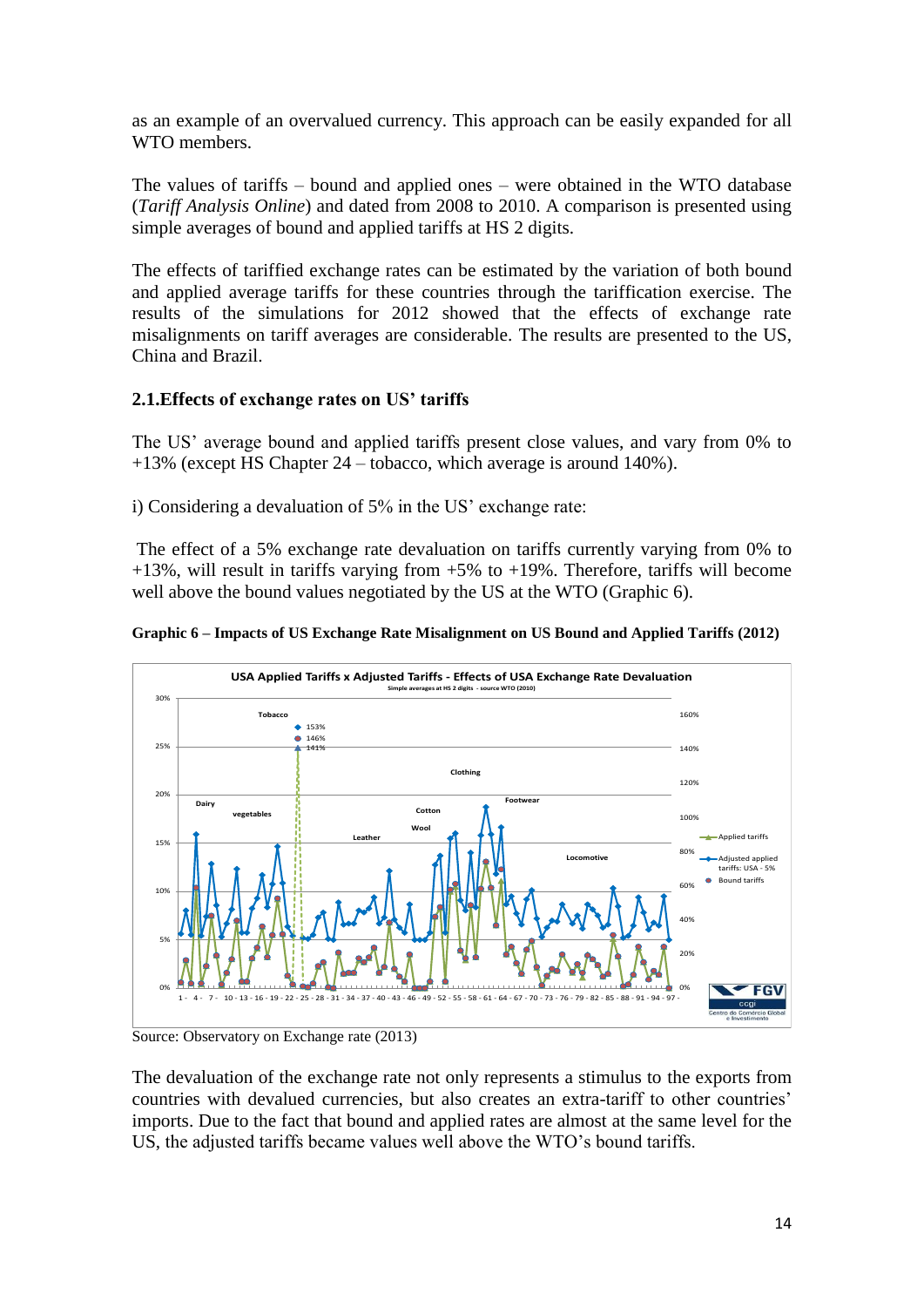as an example of an overvalued currency. This approach can be easily expanded for all WTO members.

The values of tariffs – bound and applied ones – were obtained in the WTO database (*Tariff Analysis Online*) and dated from 2008 to 2010. A comparison is presented using simple averages of bound and applied tariffs at HS 2 digits.

The effects of tariffied exchange rates can be estimated by the variation of both bound and applied average tariffs for these countries through the tariffication exercise. The results of the simulations for 2012 showed that the effects of exchange rate misalignments on tariff averages are considerable. The results are presented to the US, China and Brazil.

### **2.1.Effects of exchange rates on US' tariffs**

The US' average bound and applied tariffs present close values, and vary from 0% to +13% (except HS Chapter 24 – tobacco, which average is around 140%).

i) Considering a devaluation of 5% in the US' exchange rate:

The effect of a 5% exchange rate devaluation on tariffs currently varying from 0% to  $+13%$ , will result in tariffs varying from  $+5%$  to  $+19%$ . Therefore, tariffs will become well above the bound values negotiated by the US at the WTO (Graphic 6).



**Graphic 6 – Impacts of US Exchange Rate Misalignment on US Bound and Applied Tariffs (2012)**

Source: Observatory on Exchange rate (2013)

The devaluation of the exchange rate not only represents a stimulus to the exports from countries with devalued currencies, but also creates an extra-tariff to other countries' imports. Due to the fact that bound and applied rates are almost at the same level for the US, the adjusted tariffs became values well above the WTO's bound tariffs.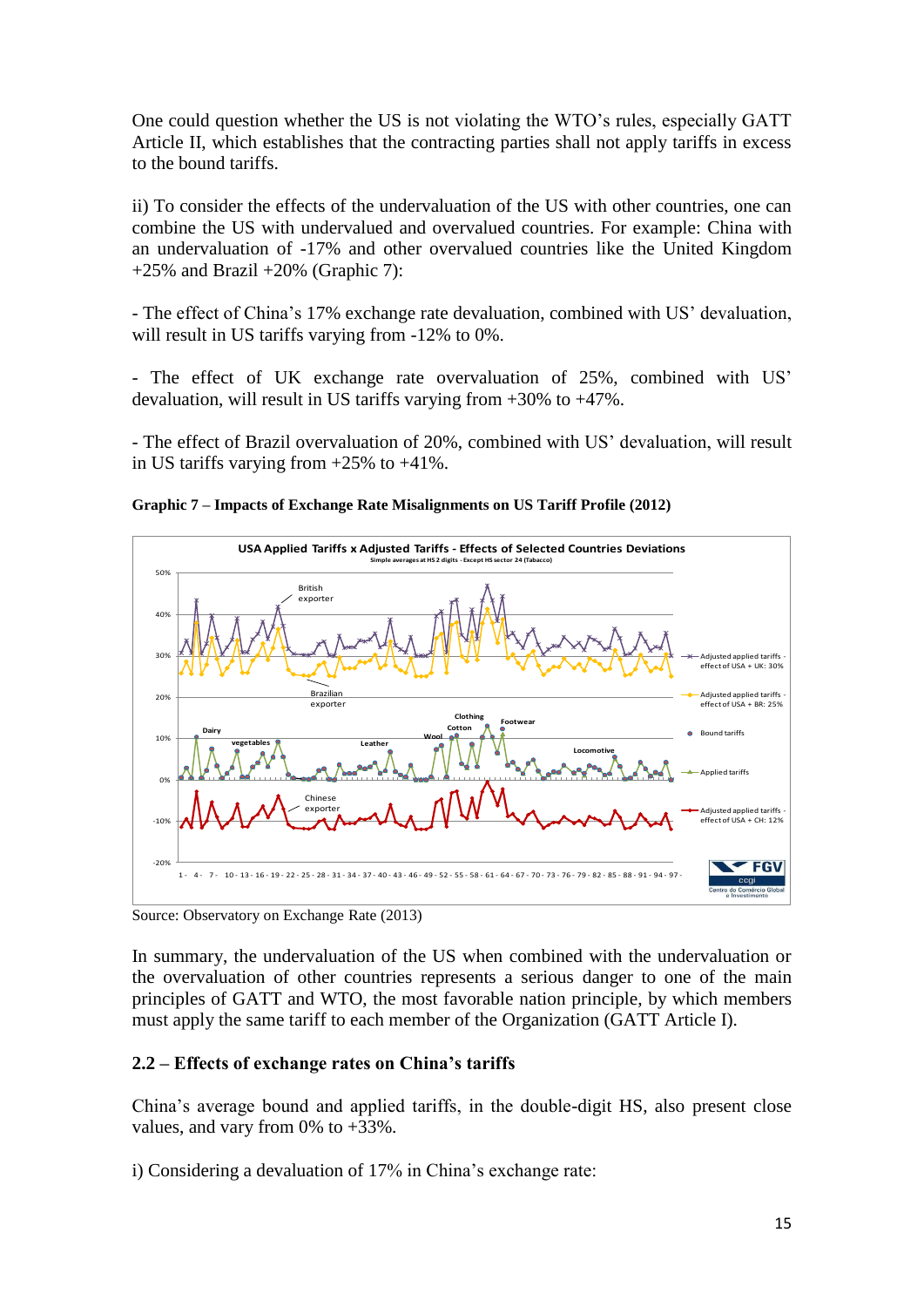One could question whether the US is not violating the WTO's rules, especially GATT Article II, which establishes that the contracting parties shall not apply tariffs in excess to the bound tariffs.

ii) To consider the effects of the undervaluation of the US with other countries, one can combine the US with undervalued and overvalued countries. For example: China with an undervaluation of -17% and other overvalued countries like the United Kingdom  $+25\%$  and Brazil  $+20\%$  (Graphic 7):

- The effect of China's 17% exchange rate devaluation, combined with US' devaluation, will result in US tariffs varying from -12% to 0%.

- The effect of UK exchange rate overvaluation of 25%, combined with US' devaluation, will result in US tariffs varying from +30% to +47%.

- The effect of Brazil overvaluation of 20%, combined with US' devaluation, will result in US tariffs varying from +25% to +41%.



**Graphic 7 – Impacts of Exchange Rate Misalignments on US Tariff Profile (2012)** 

Source: Observatory on Exchange Rate (2013)

In summary, the undervaluation of the US when combined with the undervaluation or the overvaluation of other countries represents a serious danger to one of the main principles of GATT and WTO, the most favorable nation principle, by which members must apply the same tariff to each member of the Organization (GATT Article I).

# **2.2 – Effects of exchange rates on China's tariffs**

China's average bound and applied tariffs, in the double-digit HS, also present close values, and vary from 0% to +33%.

i) Considering a devaluation of 17% in China's exchange rate: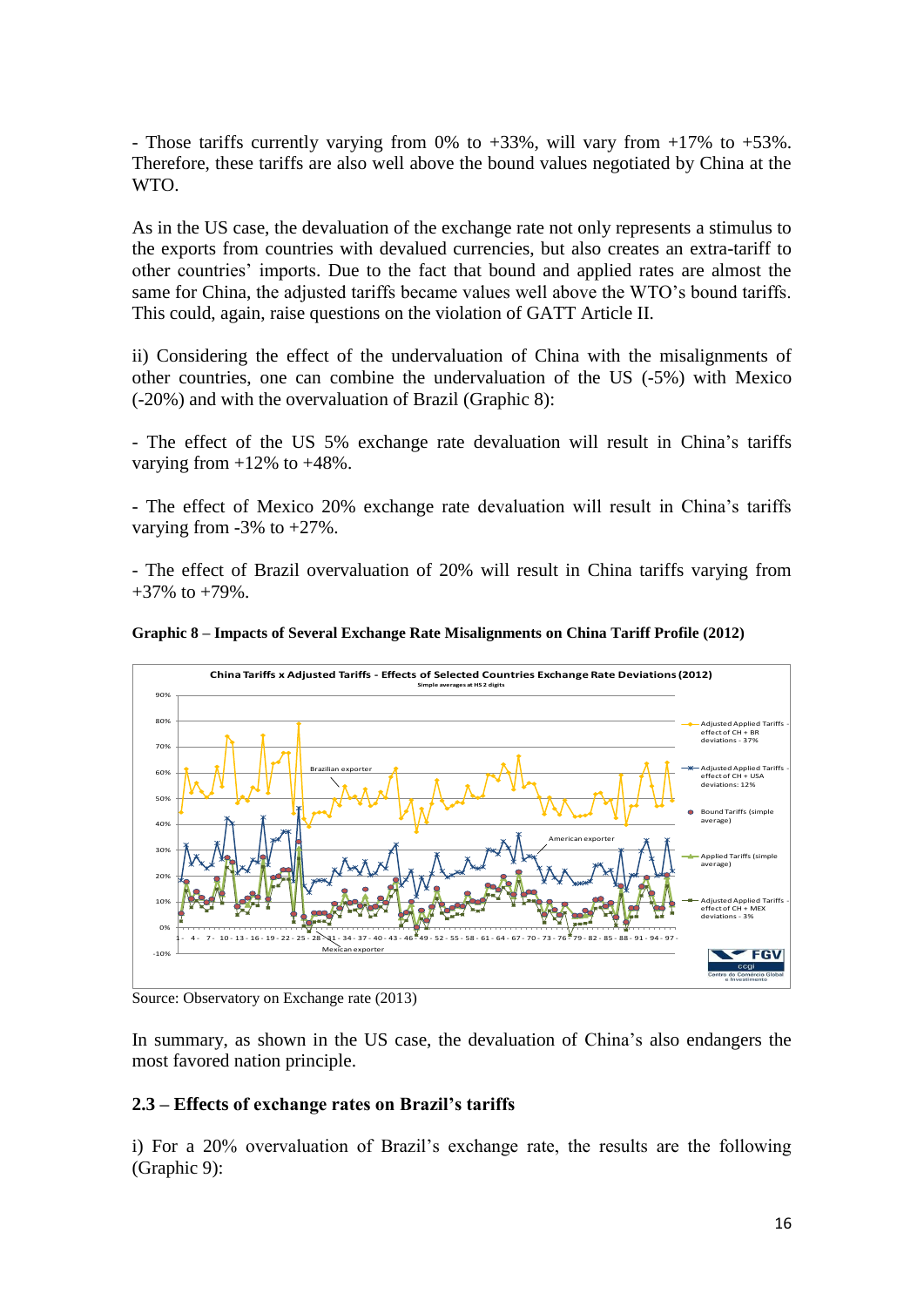- Those tariffs currently varying from 0% to  $+33\%$ , will vary from  $+17\%$  to  $+53\%$ . Therefore, these tariffs are also well above the bound values negotiated by China at the WTO.

As in the US case, the devaluation of the exchange rate not only represents a stimulus to the exports from countries with devalued currencies, but also creates an extra-tariff to other countries' imports. Due to the fact that bound and applied rates are almost the same for China, the adjusted tariffs became values well above the WTO's bound tariffs. This could, again, raise questions on the violation of GATT Article II.

ii) Considering the effect of the undervaluation of China with the misalignments of other countries, one can combine the undervaluation of the US (-5%) with Mexico (-20%) and with the overvaluation of Brazil (Graphic 8):

- The effect of the US 5% exchange rate devaluation will result in China's tariffs varying from  $+12\%$  to  $+48\%$ .

- The effect of Mexico 20% exchange rate devaluation will result in China's tariffs varying from -3% to +27%.

- The effect of Brazil overvaluation of 20% will result in China tariffs varying from  $+37\%$  to  $+79\%$ .





In summary, as shown in the US case, the devaluation of China's also endangers the most favored nation principle.

#### **2.3 – Effects of exchange rates on Brazil's tariffs**

i) For a 20% overvaluation of Brazil's exchange rate, the results are the following (Graphic 9):

Source: Observatory on Exchange rate (2013)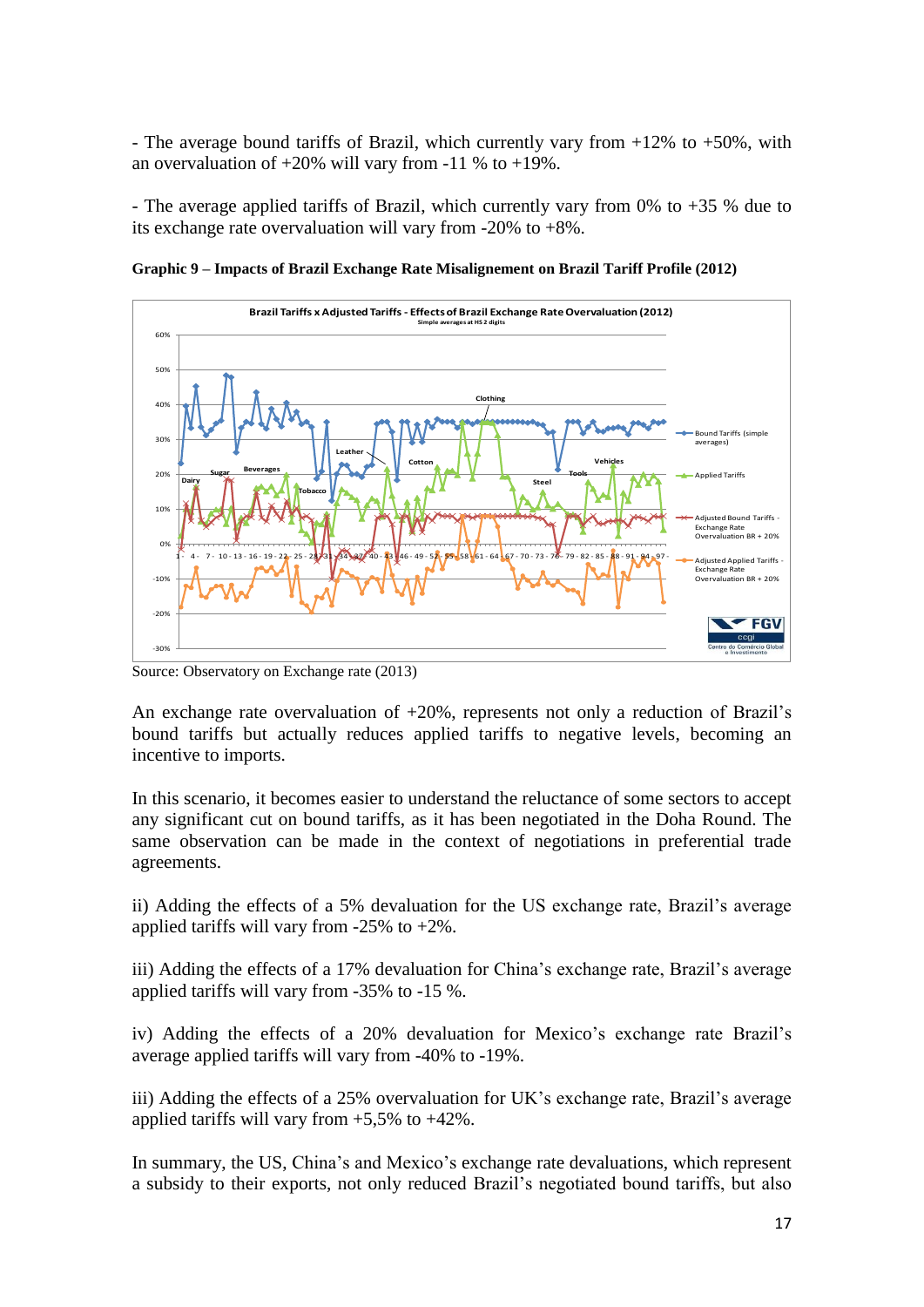- The average bound tariffs of Brazil, which currently vary from  $+12\%$  to  $+50\%$ , with an overvaluation of  $+20\%$  will vary from -11 % to  $+19\%$ .

- The average applied tariffs of Brazil, which currently vary from 0% to  $+35$  % due to its exchange rate overvaluation will vary from -20% to +8%.



**Graphic 9 – Impacts of Brazil Exchange Rate Misalignement on Brazil Tariff Profile (2012)**

Source: Observatory on Exchange rate (2013)

An exchange rate overvaluation of  $+20\%$ , represents not only a reduction of Brazil's bound tariffs but actually reduces applied tariffs to negative levels, becoming an incentive to imports.

In this scenario, it becomes easier to understand the reluctance of some sectors to accept any significant cut on bound tariffs, as it has been negotiated in the Doha Round. The same observation can be made in the context of negotiations in preferential trade agreements.

ii) Adding the effects of a 5% devaluation for the US exchange rate, Brazil's average applied tariffs will vary from  $-25\%$  to  $+2\%$ .

iii) Adding the effects of a 17% devaluation for China's exchange rate, Brazil's average applied tariffs will vary from -35% to -15 %.

iv) Adding the effects of a 20% devaluation for Mexico's exchange rate Brazil's average applied tariffs will vary from -40% to -19%.

iii) Adding the effects of a 25% overvaluation for UK's exchange rate, Brazil's average applied tariffs will vary from  $+5,5\%$  to  $+42\%$ .

In summary, the US, China's and Mexico's exchange rate devaluations, which represent a subsidy to their exports, not only reduced Brazil's negotiated bound tariffs, but also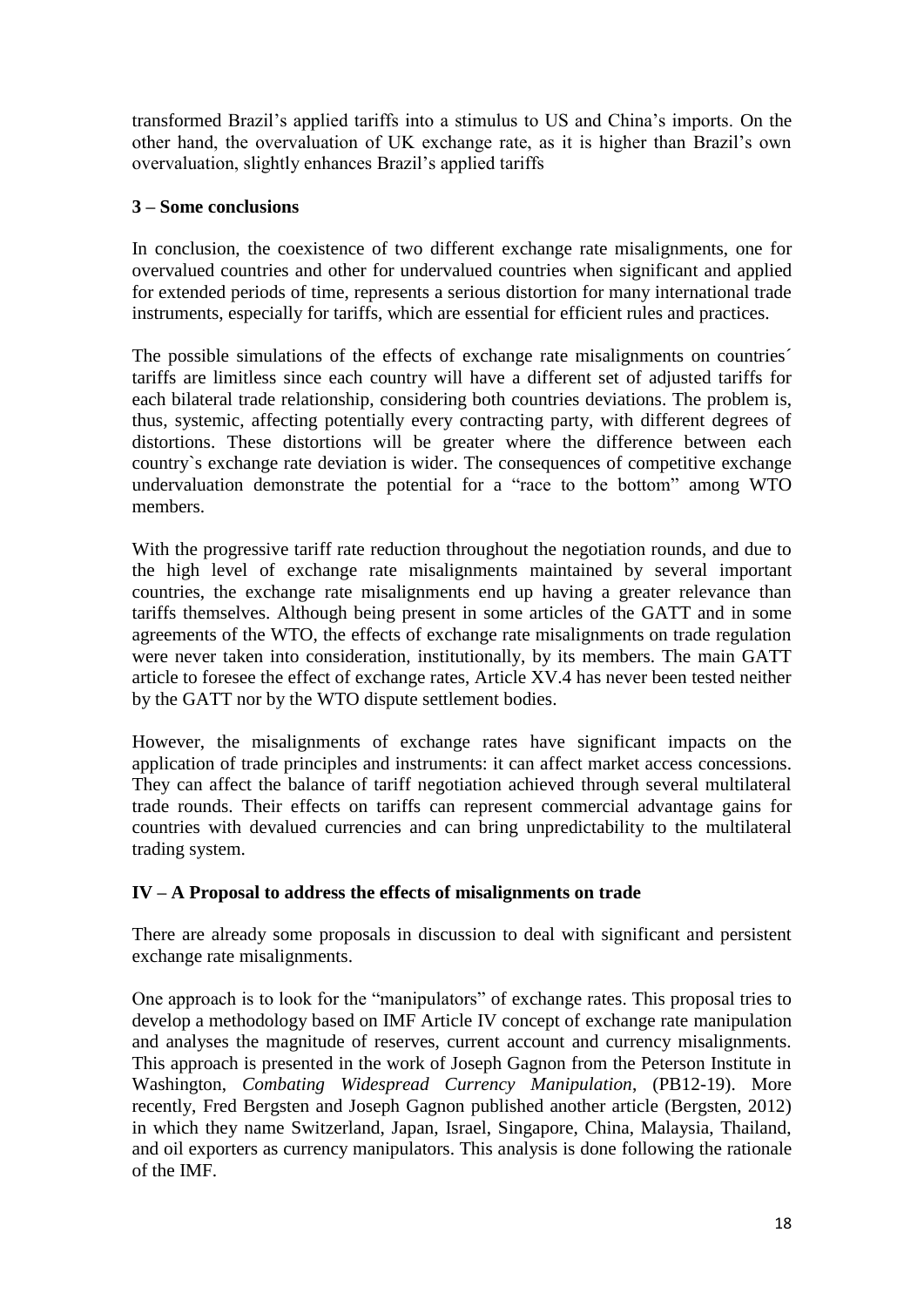transformed Brazil's applied tariffs into a stimulus to US and China's imports. On the other hand, the overvaluation of UK exchange rate, as it is higher than Brazil's own overvaluation, slightly enhances Brazil's applied tariffs

# **3 – Some conclusions**

In conclusion, the coexistence of two different exchange rate misalignments, one for overvalued countries and other for undervalued countries when significant and applied for extended periods of time, represents a serious distortion for many international trade instruments, especially for tariffs, which are essential for efficient rules and practices.

The possible simulations of the effects of exchange rate misalignments on countries´ tariffs are limitless since each country will have a different set of adjusted tariffs for each bilateral trade relationship, considering both countries deviations. The problem is, thus, systemic, affecting potentially every contracting party, with different degrees of distortions. These distortions will be greater where the difference between each country`s exchange rate deviation is wider. The consequences of competitive exchange undervaluation demonstrate the potential for a "race to the bottom" among WTO members.

With the progressive tariff rate reduction throughout the negotiation rounds, and due to the high level of exchange rate misalignments maintained by several important countries, the exchange rate misalignments end up having a greater relevance than tariffs themselves. Although being present in some articles of the GATT and in some agreements of the WTO, the effects of exchange rate misalignments on trade regulation were never taken into consideration, institutionally, by its members. The main GATT article to foresee the effect of exchange rates, Article XV.4 has never been tested neither by the GATT nor by the WTO dispute settlement bodies.

However, the misalignments of exchange rates have significant impacts on the application of trade principles and instruments: it can affect market access concessions. They can affect the balance of tariff negotiation achieved through several multilateral trade rounds. Their effects on tariffs can represent commercial advantage gains for countries with devalued currencies and can bring unpredictability to the multilateral trading system.

# **IV – A Proposal to address the effects of misalignments on trade**

There are already some proposals in discussion to deal with significant and persistent exchange rate misalignments.

One approach is to look for the "manipulators" of exchange rates. This proposal tries to develop a methodology based on IMF Article IV concept of exchange rate manipulation and analyses the magnitude of reserves, current account and currency misalignments. This approach is presented in the work of Joseph Gagnon from the Peterson Institute in Washington, *Combating Widespread Currency Manipulation*, (PB12-19). More recently, Fred Bergsten and Joseph Gagnon published another article (Bergsten, 2012) in which they name Switzerland, Japan, Israel, Singapore, China, Malaysia, Thailand, and oil exporters as currency manipulators. This analysis is done following the rationale of the IMF.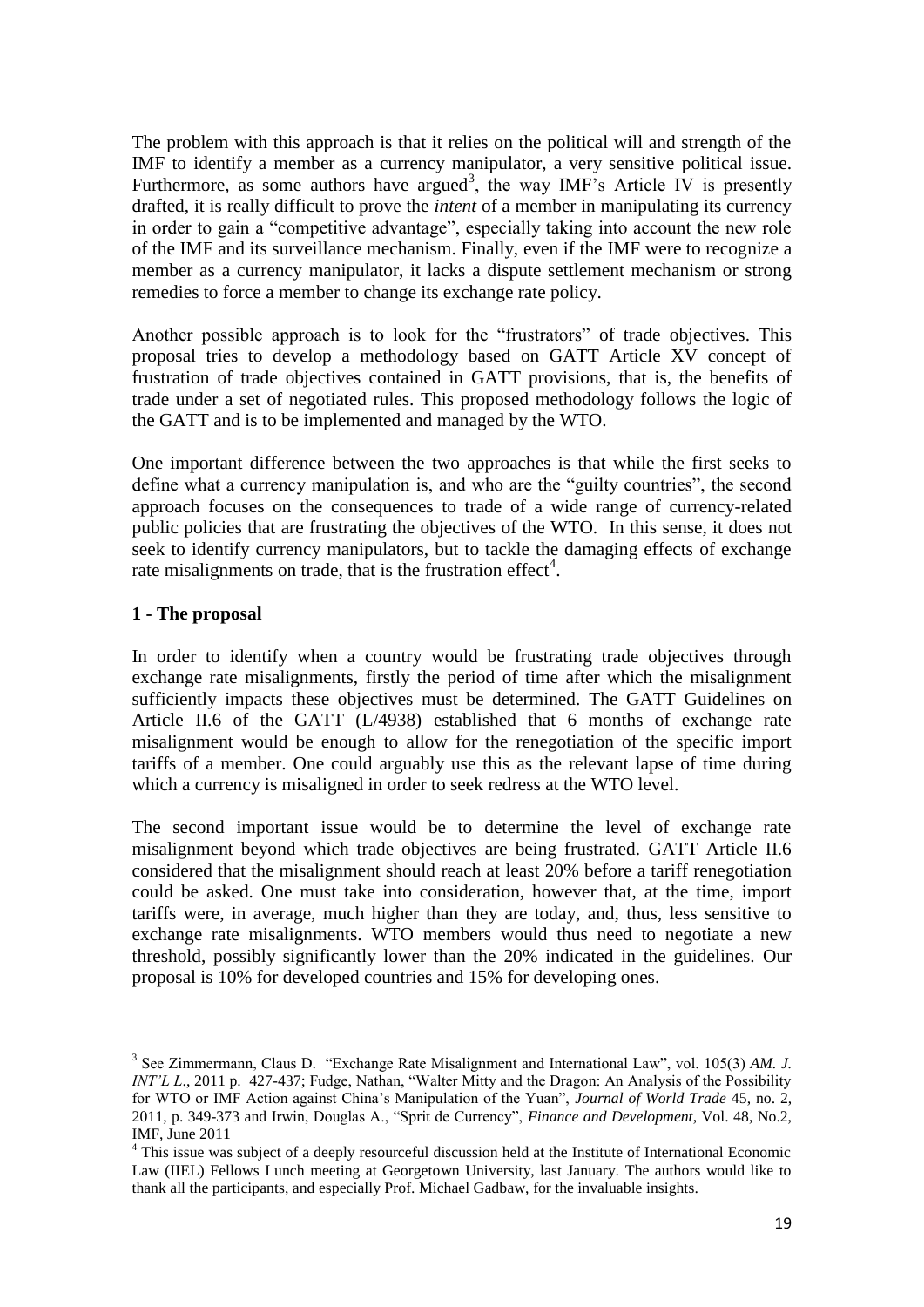The problem with this approach is that it relies on the political will and strength of the IMF to identify a member as a currency manipulator, a very sensitive political issue. Furthermore, as some authors have argued<sup>3</sup>, the way IMF's Article IV is presently drafted, it is really difficult to prove the *intent* of a member in manipulating its currency in order to gain a "competitive advantage", especially taking into account the new role of the IMF and its surveillance mechanism. Finally, even if the IMF were to recognize a member as a currency manipulator, it lacks a dispute settlement mechanism or strong remedies to force a member to change its exchange rate policy.

Another possible approach is to look for the "frustrators" of trade objectives. This proposal tries to develop a methodology based on GATT Article XV concept of frustration of trade objectives contained in GATT provisions, that is, the benefits of trade under a set of negotiated rules. This proposed methodology follows the logic of the GATT and is to be implemented and managed by the WTO.

One important difference between the two approaches is that while the first seeks to define what a currency manipulation is, and who are the "guilty countries", the second approach focuses on the consequences to trade of a wide range of currency-related public policies that are frustrating the objectives of the WTO. In this sense, it does not seek to identify currency manipulators, but to tackle the damaging effects of exchange rate misalignments on trade, that is the frustration effect<sup>4</sup>.

### **1 - The proposal**

**.** 

In order to identify when a country would be frustrating trade objectives through exchange rate misalignments, firstly the period of time after which the misalignment sufficiently impacts these objectives must be determined. The GATT Guidelines on Article II.6 of the GATT (L/4938) established that 6 months of exchange rate misalignment would be enough to allow for the renegotiation of the specific import tariffs of a member. One could arguably use this as the relevant lapse of time during which a currency is misaligned in order to seek redress at the WTO level.

The second important issue would be to determine the level of exchange rate misalignment beyond which trade objectives are being frustrated. GATT Article II.6 considered that the misalignment should reach at least 20% before a tariff renegotiation could be asked. One must take into consideration, however that, at the time, import tariffs were, in average, much higher than they are today, and, thus, less sensitive to exchange rate misalignments. WTO members would thus need to negotiate a new threshold, possibly significantly lower than the 20% indicated in the guidelines. Our proposal is 10% for developed countries and 15% for developing ones.

<sup>3</sup> See Zimmermann, Claus D. "Exchange Rate Misalignment and International Law", vol. 105(3) *AM. J. INT'L L.*, 2011 p. 427-437; Fudge, Nathan, "Walter Mitty and the Dragon: An Analysis of the Possibility for WTO or IMF Action against China's Manipulation of the Yuan", *Journal of World Trade* 45, no. 2, 2011, p. 349-373 and Irwin, Douglas A., "Sprit de Currency", *Finance and Development*, Vol. 48, No.2, IMF, June 2011

<sup>&</sup>lt;sup>4</sup> This issue was subject of a deeply resourceful discussion held at the Institute of International Economic Law (IIEL) Fellows Lunch meeting at Georgetown University, last January. The authors would like to thank all the participants, and especially Prof. Michael Gadbaw, for the invaluable insights.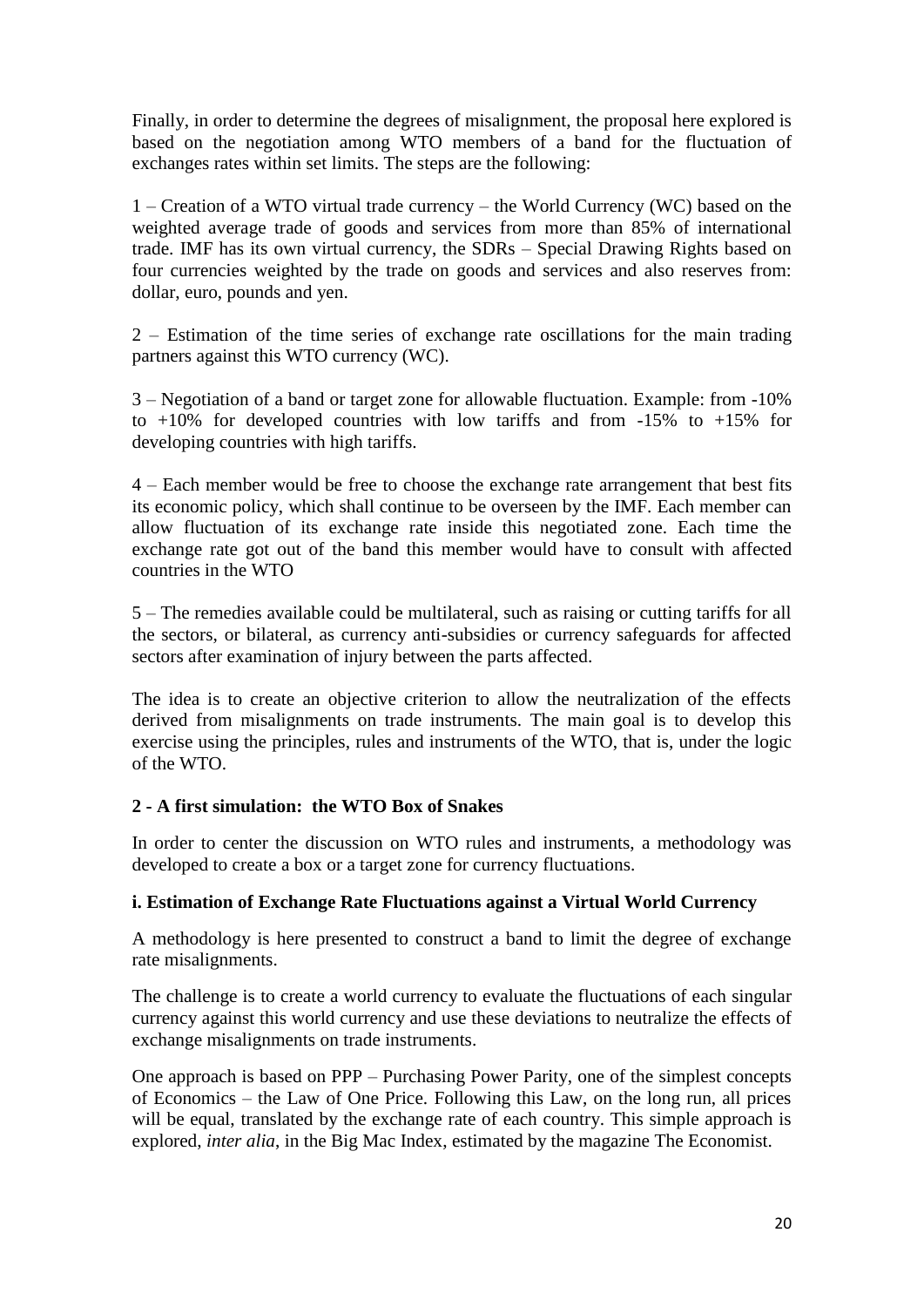Finally, in order to determine the degrees of misalignment, the proposal here explored is based on the negotiation among WTO members of a band for the fluctuation of exchanges rates within set limits. The steps are the following:

1 – Creation of a WTO virtual trade currency – the World Currency (WC) based on the weighted average trade of goods and services from more than 85% of international trade. IMF has its own virtual currency, the SDRs – Special Drawing Rights based on four currencies weighted by the trade on goods and services and also reserves from: dollar, euro, pounds and yen.

2 – Estimation of the time series of exchange rate oscillations for the main trading partners against this WTO currency (WC).

3 – Negotiation of a band or target zone for allowable fluctuation. Example: from -10% to  $+10\%$  for developed countries with low tariffs and from  $-15\%$  to  $+15\%$  for developing countries with high tariffs.

4 – Each member would be free to choose the exchange rate arrangement that best fits its economic policy, which shall continue to be overseen by the IMF. Each member can allow fluctuation of its exchange rate inside this negotiated zone. Each time the exchange rate got out of the band this member would have to consult with affected countries in the WTO

5 – The remedies available could be multilateral, such as raising or cutting tariffs for all the sectors, or bilateral, as currency anti-subsidies or currency safeguards for affected sectors after examination of injury between the parts affected.

The idea is to create an objective criterion to allow the neutralization of the effects derived from misalignments on trade instruments. The main goal is to develop this exercise using the principles, rules and instruments of the WTO, that is, under the logic of the WTO.

# **2 - A first simulation: the WTO Box of Snakes**

In order to center the discussion on WTO rules and instruments, a methodology was developed to create a box or a target zone for currency fluctuations.

#### **i. Estimation of Exchange Rate Fluctuations against a Virtual World Currency**

A methodology is here presented to construct a band to limit the degree of exchange rate misalignments.

The challenge is to create a world currency to evaluate the fluctuations of each singular currency against this world currency and use these deviations to neutralize the effects of exchange misalignments on trade instruments.

One approach is based on PPP – Purchasing Power Parity, one of the simplest concepts of Economics – the Law of One Price. Following this Law, on the long run, all prices will be equal, translated by the exchange rate of each country. This simple approach is explored, *inter alia*, in the Big Mac Index, estimated by the magazine The Economist.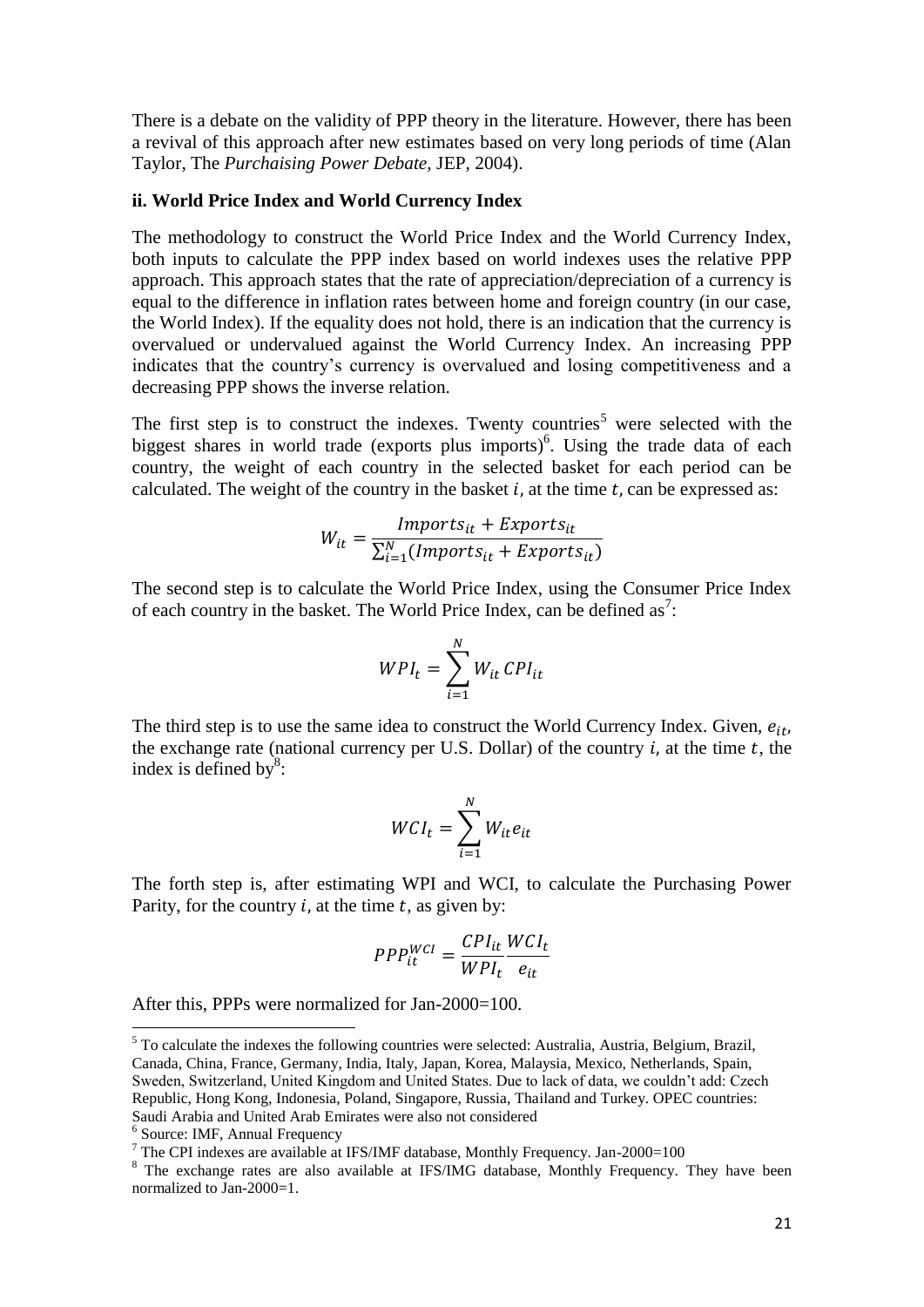There is a debate on the validity of PPP theory in the literature. However, there has been a revival of this approach after new estimates based on very long periods of time (Alan Taylor, The *Purchaising Power Debate,* JEP, 2004).

#### **ii. World Price Index and World Currency Index**

The methodology to construct the World Price Index and the World Currency Index, both inputs to calculate the PPP index based on world indexes uses the relative PPP approach. This approach states that the rate of appreciation/depreciation of a currency is equal to the difference in inflation rates between home and foreign country (in our case, the World Index). If the equality does not hold, there is an indication that the currency is overvalued or undervalued against the World Currency Index. An increasing PPP indicates that the country's currency is overvalued and losing competitiveness and a decreasing PPP shows the inverse relation.

The first step is to construct the indexes. Twenty countries<sup>5</sup> were selected with the biggest shares in world trade (exports plus imports)<sup>6</sup>. Using the trade data of each country, the weight of each country in the selected basket for each period can be calculated. The weight of the country in the basket  $i$ , at the time  $t$ , can be expressed as:

$$
W_{it} = \frac{Imports_{it} + Exports_{it}}{\sum_{i=1}^{N} (Imports_{it} + Exports_{it})}
$$

The second step is to calculate the World Price Index, using the Consumer Price Index of each country in the basket. The World Price Index, can be defined as<sup>7</sup>:

$$
WPI_t = \sum_{i=1}^{N} W_{it} \, CPI_{it}
$$

The third step is to use the same idea to construct the World Currency Index. Given,  $e_{it}$ , the exchange rate (national currency per U.S. Dollar) of the country  $i$ , at the time  $t$ , the index is defined by $^{8}$ :

$$
WCI_t = \sum_{i=1}^{N} W_{it}e_{it}
$$

The forth step is, after estimating WPI and WCI, to calculate the Purchasing Power Parity, for the country  $i$ , at the time  $t$ , as given by:

$$
PPP_{it}^{WCI} = \frac{CPI_{it}}{WPI_t} \frac{WCI_t}{e_{it}}
$$

After this, PPPs were normalized for Jan-2000=100.

1

 $<sup>5</sup>$  To calculate the indexes the following countries were selected: Australia, Austria, Belgium, Brazil,</sup> Canada, China, France, Germany, India, Italy, Japan, Korea, Malaysia, Mexico, Netherlands, Spain, Sweden, Switzerland, United Kingdom and United States. Due to lack of data, we couldn't add: Czech Republic, Hong Kong, Indonesia, Poland, Singapore, Russia, Thailand and Turkey. OPEC countries: Saudi Arabia and United Arab Emirates were also not considered

<sup>6</sup> Source: IMF, Annual Frequency

<sup>7</sup> The CPI indexes are available at IFS/IMF database, Monthly Frequency. Jan-2000=100

<sup>&</sup>lt;sup>8</sup> The exchange rates are also available at IFS/IMG database, Monthly Frequency. They have been normalized to Jan-2000=1.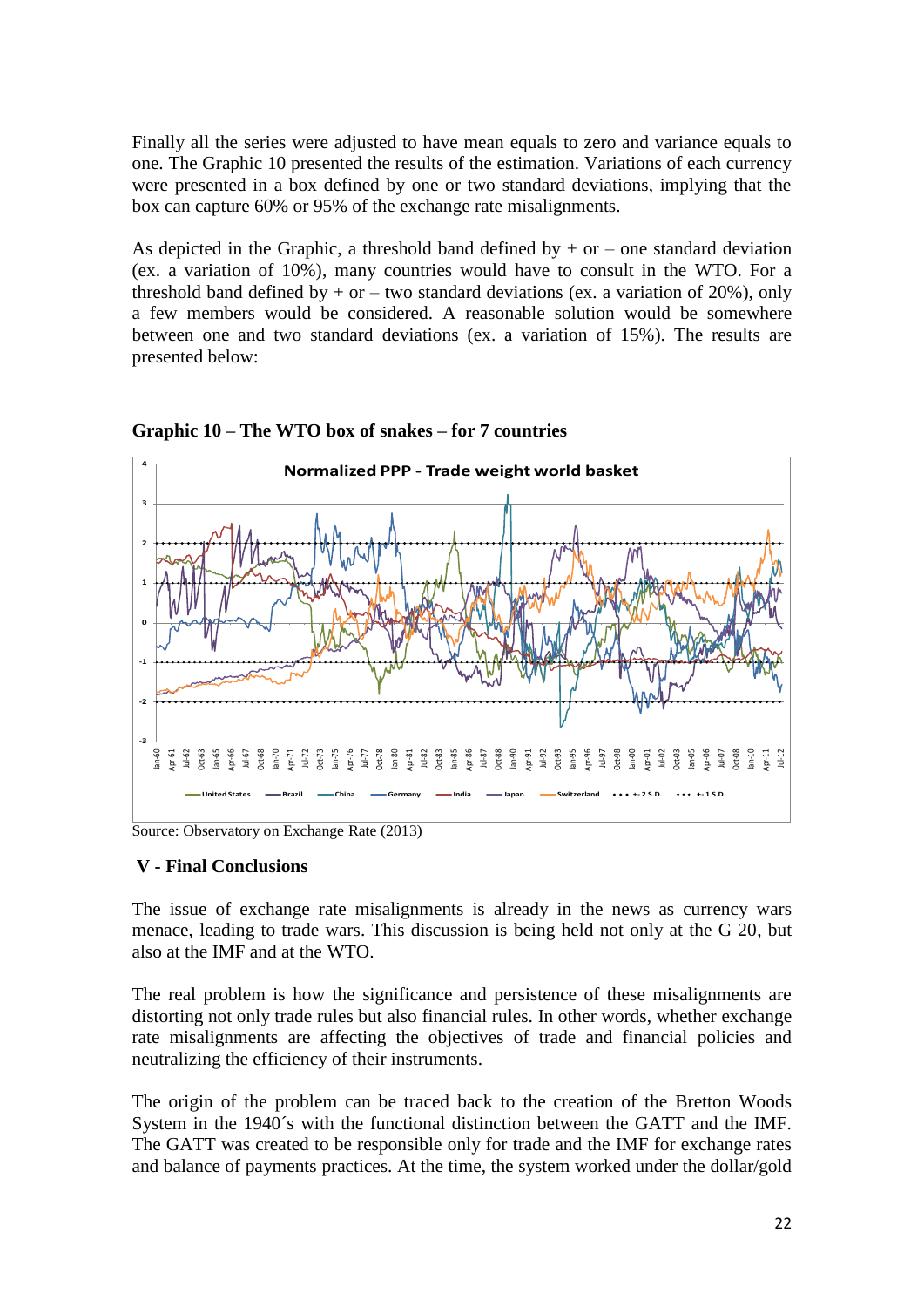Finally all the series were adjusted to have mean equals to zero and variance equals to one. The Graphic 10 presented the results of the estimation. Variations of each currency were presented in a box defined by one or two standard deviations, implying that the box can capture 60% or 95% of the exchange rate misalignments.

As depicted in the Graphic, a threshold band defined by  $+$  or  $-$  one standard deviation (ex. a variation of 10%), many countries would have to consult in the WTO. For a threshold band defined by  $+$  or  $-$  two standard deviations (ex. a variation of 20%), only a few members would be considered. A reasonable solution would be somewhere between one and two standard deviations (ex. a variation of 15%). The results are presented below:



**Graphic 10 – The WTO box of snakes – for 7 countries**

Source: Observatory on Exchange Rate (2013)

#### **V - Final Conclusions**

The issue of exchange rate misalignments is already in the news as currency wars menace, leading to trade wars. This discussion is being held not only at the G 20, but also at the IMF and at the WTO.

The real problem is how the significance and persistence of these misalignments are distorting not only trade rules but also financial rules. In other words, whether exchange rate misalignments are affecting the objectives of trade and financial policies and neutralizing the efficiency of their instruments.

The origin of the problem can be traced back to the creation of the Bretton Woods System in the 1940´s with the functional distinction between the GATT and the IMF. The GATT was created to be responsible only for trade and the IMF for exchange rates and balance of payments practices. At the time, the system worked under the dollar/gold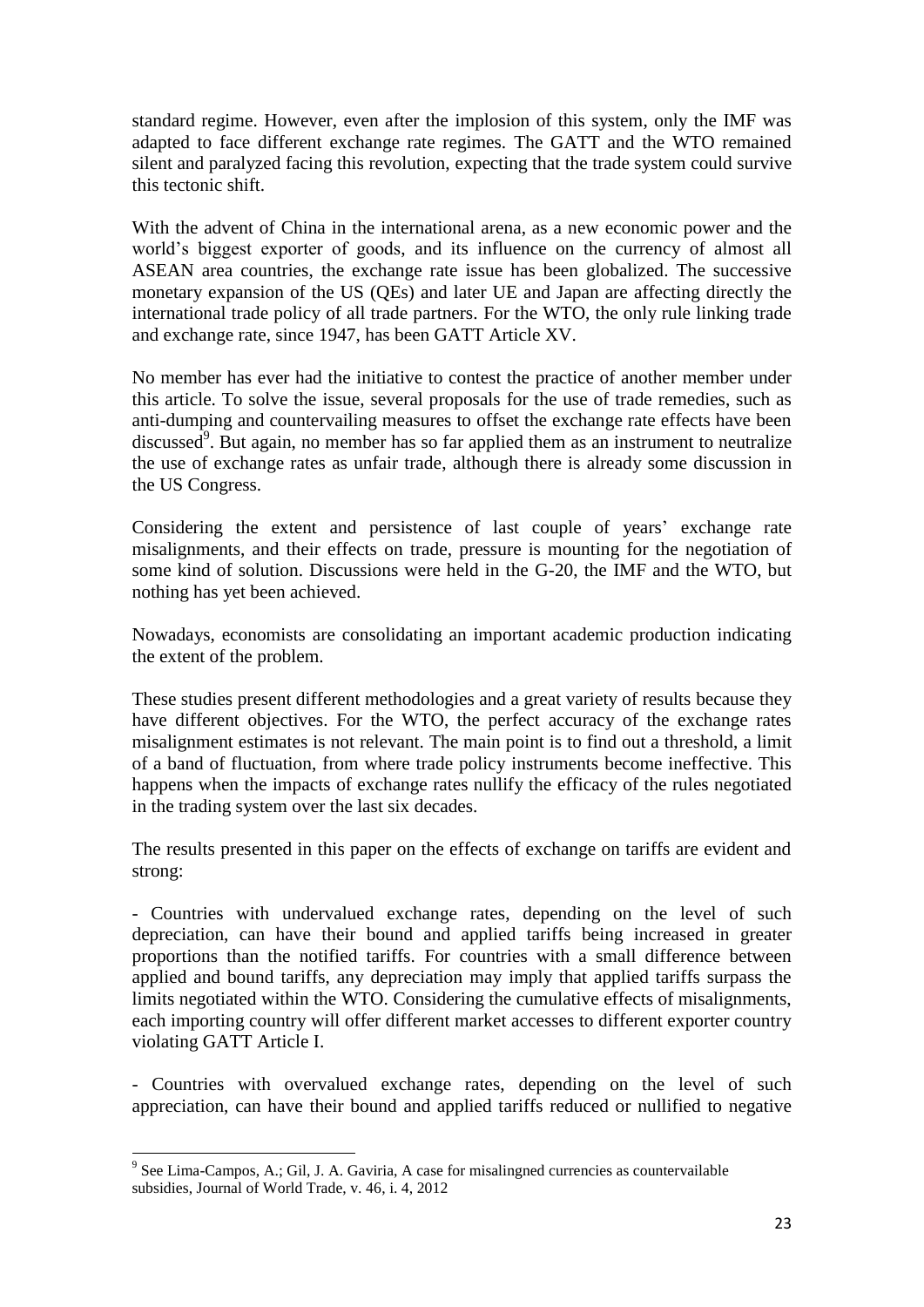standard regime. However, even after the implosion of this system, only the IMF was adapted to face different exchange rate regimes. The GATT and the WTO remained silent and paralyzed facing this revolution, expecting that the trade system could survive this tectonic shift.

With the advent of China in the international arena, as a new economic power and the world's biggest exporter of goods, and its influence on the currency of almost all ASEAN area countries, the exchange rate issue has been globalized. The successive monetary expansion of the US (QEs) and later UE and Japan are affecting directly the international trade policy of all trade partners. For the WTO, the only rule linking trade and exchange rate, since 1947, has been GATT Article XV.

No member has ever had the initiative to contest the practice of another member under this article. To solve the issue, several proposals for the use of trade remedies, such as anti-dumping and countervailing measures to offset the exchange rate effects have been discussed $9$ . But again, no member has so far applied them as an instrument to neutralize the use of exchange rates as unfair trade, although there is already some discussion in the US Congress.

Considering the extent and persistence of last couple of years' exchange rate misalignments, and their effects on trade, pressure is mounting for the negotiation of some kind of solution. Discussions were held in the G-20, the IMF and the WTO, but nothing has yet been achieved.

Nowadays, economists are consolidating an important academic production indicating the extent of the problem.

These studies present different methodologies and a great variety of results because they have different objectives. For the WTO, the perfect accuracy of the exchange rates misalignment estimates is not relevant. The main point is to find out a threshold, a limit of a band of fluctuation, from where trade policy instruments become ineffective. This happens when the impacts of exchange rates nullify the efficacy of the rules negotiated in the trading system over the last six decades.

The results presented in this paper on the effects of exchange on tariffs are evident and strong:

- Countries with undervalued exchange rates, depending on the level of such depreciation, can have their bound and applied tariffs being increased in greater proportions than the notified tariffs. For countries with a small difference between applied and bound tariffs, any depreciation may imply that applied tariffs surpass the limits negotiated within the WTO. Considering the cumulative effects of misalignments, each importing country will offer different market accesses to different exporter country violating GATT Article I.

- Countries with overvalued exchange rates, depending on the level of such appreciation, can have their bound and applied tariffs reduced or nullified to negative

<sup>&</sup>lt;sup>9</sup> See Lima-Campos, A.; Gil, J. A. Gaviria, A case for misalingned currencies as countervailable subsidies, Journal of World Trade, v. 46, i. 4, 2012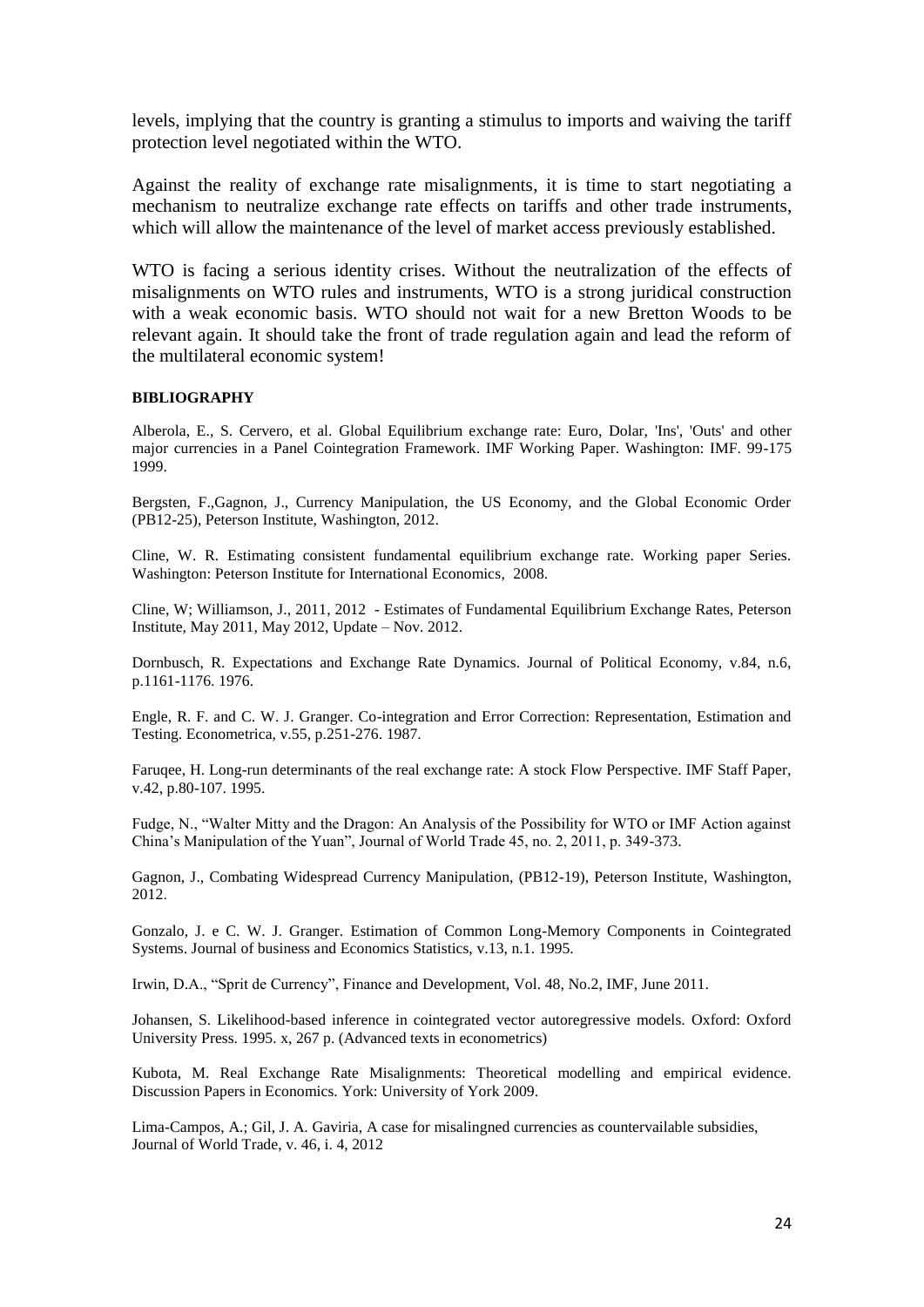levels, implying that the country is granting a stimulus to imports and waiving the tariff protection level negotiated within the WTO.

Against the reality of exchange rate misalignments, it is time to start negotiating a mechanism to neutralize exchange rate effects on tariffs and other trade instruments, which will allow the maintenance of the level of market access previously established.

WTO is facing a serious identity crises. Without the neutralization of the effects of misalignments on WTO rules and instruments, WTO is a strong juridical construction with a weak economic basis. WTO should not wait for a new Bretton Woods to be relevant again. It should take the front of trade regulation again and lead the reform of the multilateral economic system!

#### **BIBLIOGRAPHY**

Alberola, E., S. Cervero, et al. Global Equilibrium exchange rate: Euro, Dolar, 'Ins', 'Outs' and other major currencies in a Panel Cointegration Framework. IMF Working Paper. Washington: IMF. 99-175 1999.

Bergsten, F.,Gagnon, J., Currency Manipulation, the US Economy, and the Global Economic Order (PB12-25), Peterson Institute, Washington, 2012.

Cline, W. R. Estimating consistent fundamental equilibrium exchange rate. Working paper Series. Washington: Peterson Institute for International Economics, 2008.

Cline, W; Williamson, J., 2011, 2012 - Estimates of Fundamental Equilibrium Exchange Rates, Peterson Institute, May 2011, May 2012, Update – Nov. 2012.

Dornbusch, R. Expectations and Exchange Rate Dynamics. Journal of Political Economy, v.84, n.6, p.1161-1176. 1976.

Engle, R. F. and C. W. J. Granger. Co-integration and Error Correction: Representation, Estimation and Testing. Econometrica, v.55, p.251-276. 1987.

Faruqee, H. Long-run determinants of the real exchange rate: A stock Flow Perspective. IMF Staff Paper, v.42, p.80-107. 1995.

Fudge, N., "Walter Mitty and the Dragon: An Analysis of the Possibility for WTO or IMF Action against China's Manipulation of the Yuan", Journal of World Trade 45, no. 2, 2011, p. 349-373.

Gagnon, J., Combating Widespread Currency Manipulation, (PB12-19), Peterson Institute, Washington, 2012.

Gonzalo, J. e C. W. J. Granger. Estimation of Common Long-Memory Components in Cointegrated Systems. Journal of business and Economics Statistics, v.13, n.1. 1995.

Irwin, D.A., "Sprit de Currency", Finance and Development, Vol. 48, No.2, IMF, June 2011.

Johansen, S. Likelihood-based inference in cointegrated vector autoregressive models. Oxford: Oxford University Press. 1995. x, 267 p. (Advanced texts in econometrics)

Kubota, M. Real Exchange Rate Misalignments: Theoretical modelling and empirical evidence. Discussion Papers in Economics. York: University of York 2009.

Lima-Campos, A.; Gil, J. A. Gaviria, A case for misalingned currencies as countervailable subsidies, Journal of World Trade, v. 46, i. 4, 2012